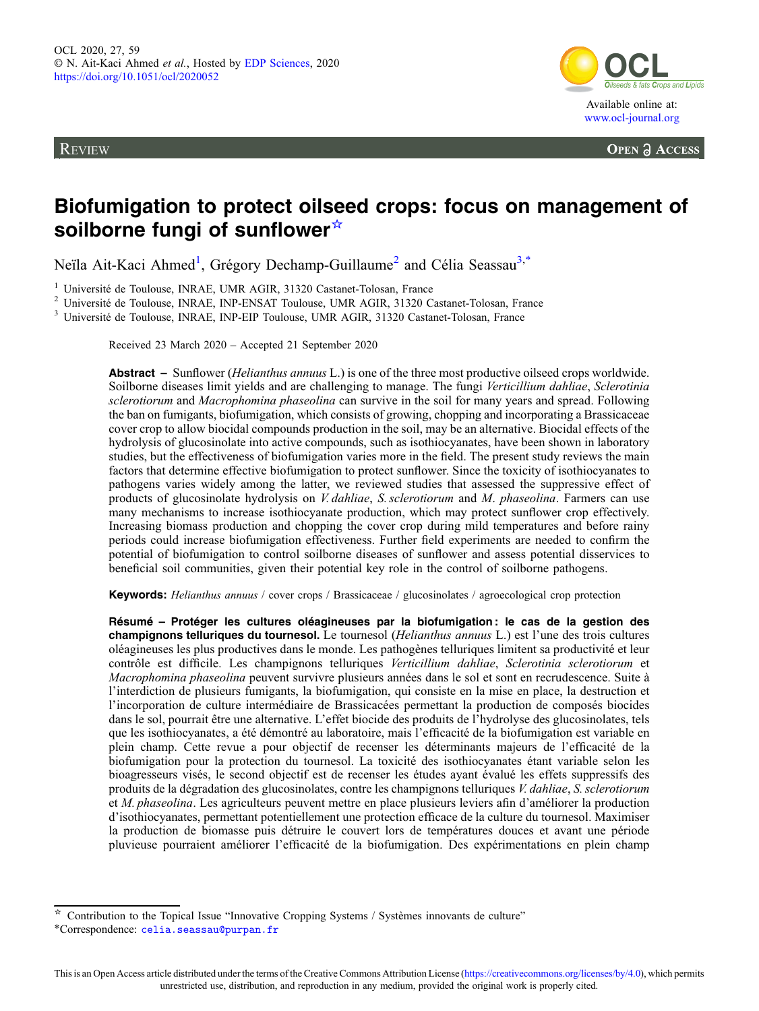**REVIEW** 



**OPEN A ACCESS** 

# Biofumigation to protect oilseed crops: focus on management of soilborne fungi of sunflower<sup>☆</sup>

Neïla Ait-Kaci Ahmed<sup>1</sup>, Grégory Dechamp-Guillaume<sup>2</sup> and Célia Seassau<sup>3,\*</sup>

<sup>1</sup> Université de Toulouse, INRAE, UMR AGIR, 31320 Castanet-Tolosan, France<br><sup>2</sup> Université de Toulouse, INRAE, INP-ENSAT Toulouse, UMR AGIR, 31320 Castanet-Tolosan, France<br><sup>3</sup> Université de Toulouse, INRAE, INP-EIP Toulou

Received 23 March 2020 – Accepted 21 September 2020

Abstract – Sunflower (*Helianthus annuus* L.) is one of the three most productive oilseed crops worldwide. Soilborne diseases limit yields and are challenging to manage. The fungi Verticillium dahliae, Sclerotinia sclerotiorum and Macrophomina phaseolina can survive in the soil for many years and spread. Following the ban on fumigants, biofumigation, which consists of growing, chopping and incorporating a Brassicaceae cover crop to allow biocidal compounds production in the soil, may be an alternative. Biocidal effects of the hydrolysis of glucosinolate into active compounds, such as isothiocyanates, have been shown in laboratory studies, but the effectiveness of biofumigation varies more in the field. The present study reviews the main factors that determine effective biofumigation to protect sunflower. Since the toxicity of isothiocyanates to pathogens varies widely among the latter, we reviewed studies that assessed the suppressive effect of products of glucosinolate hydrolysis on V. dahliae, S. sclerotiorum and M. phaseolina. Farmers can use many mechanisms to increase isothiocyanate production, which may protect sunflower crop effectively. Increasing biomass production and chopping the cover crop during mild temperatures and before rainy periods could increase biofumigation effectiveness. Further field experiments are needed to confirm the potential of biofumigation to control soilborne diseases of sunflower and assess potential disservices to beneficial soil communities, given their potential key role in the control of soilborne pathogens.

Keywords: Helianthus annuus / cover crops / Brassicaceae / glucosinolates / agroecological crop protection

Résumé – Protéger les cultures oléagineuses par la biofumigation : le cas de la gestion des champignons telluriques du tournesol. Le tournesol (Helianthus annuus L.) est l'une des trois cultures oléagineuses les plus productives dans le monde. Les pathogènes telluriques limitent sa productivité et leur contrôle est difficile. Les champignons telluriques Verticillium dahliae, Sclerotinia sclerotiorum et Macrophomina phaseolina peuvent survivre plusieurs années dans le sol et sont en recrudescence. Suite à l'interdiction de plusieurs fumigants, la biofumigation, qui consiste en la mise en place, la destruction et l'incorporation de culture intermédiaire de Brassicacées permettant la production de composés biocides dans le sol, pourrait être une alternative. L'effet biocide des produits de l'hydrolyse des glucosinolates, tels que les isothiocyanates, a été démontré au laboratoire, mais l'efficacité de la biofumigation est variable en plein champ. Cette revue a pour objectif de recenser les déterminants majeurs de l'efficacité de la biofumigation pour la protection du tournesol. La toxicité des isothiocyanates étant variable selon les bioagresseurs visés, le second objectif est de recenser les études ayant évalué les effets suppressifs des produits de la dégradation des glucosinolates, contre les champignons telluriques V. dahliae, S. sclerotiorum et *M. phaseolina*. Les agriculteurs peuvent mettre en place plusieurs leviers afin d'améliorer la production d'isothiocyanates, permettant potentiellement une protection efficace de la culture du tournesol. Maximiser la production de biomasse puis détruire le couvert lors de températures douces et avant une période pluvieuse pourraient améliorer l'efficacité de la biofumigation. Des expérimentations en plein champ

<sup>☆</sup> Contribution to the Topical Issue "Innovative Cropping Systems / Systèmes innovants de culture"

<sup>\*</sup>Correspondence: [celia.seassau@purpan.fr](mailto:celia.seassau@purpan.fr)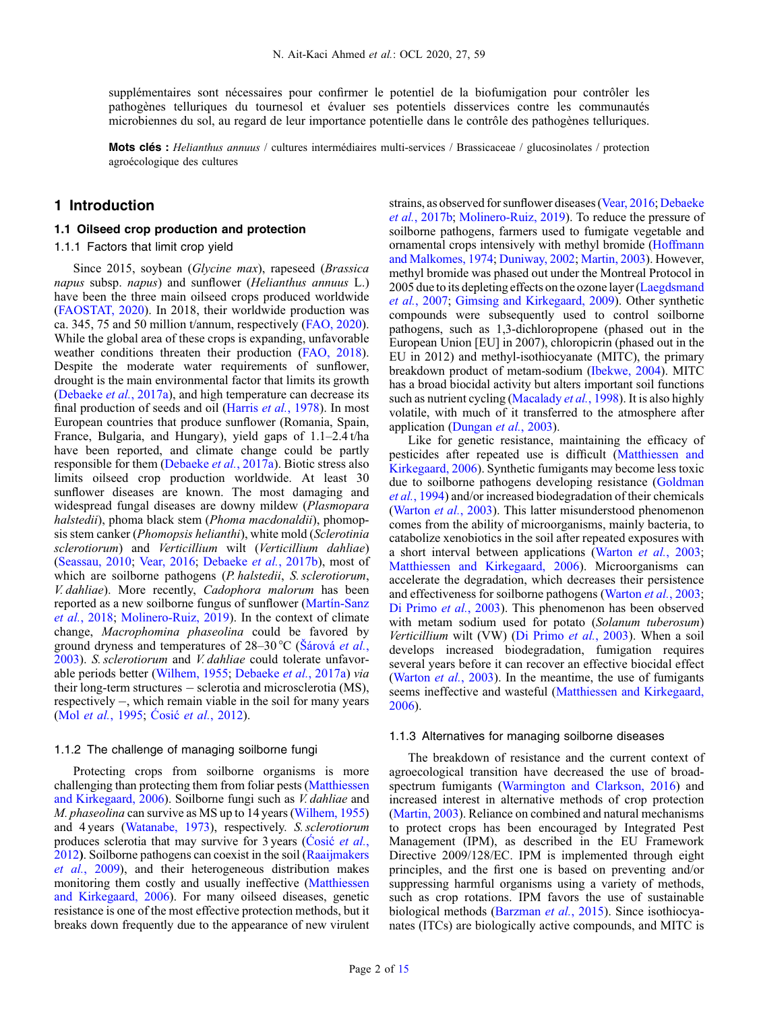supplémentaires sont nécessaires pour confirmer le potentiel de la biofumigation pour contrôler les pathogènes telluriques du tournesol et évaluer ses potentiels disservices contre les communautés microbiennes du sol, au regard de leur importance potentielle dans le contrôle des pathogènes telluriques.

Mots clés : Helianthus annuus / cultures intermédiaires multi-services / Brassicaceae / glucosinolates / protection agroécologique des cultures

### 1 Introduction

#### 1.1 Oilseed crop production and protection

#### 1.1.1 Factors that limit crop yield

Since 2015, soybean (Glycine max), rapeseed (Brassica napus subsp. napus) and sunflower (Helianthus annuus L.) have been the three main oilseed crops produced worldwide ([FAOSTAT, 2020](#page-12-0)). In 2018, their worldwide production was ca. 345, 75 and 50 million t/annum, respectively [\(FAO, 2020](#page-12-0)). While the global area of these crops is expanding, unfavorable weather conditions threaten their production [\(FAO, 2018](#page-12-0)). Despite the moderate water requirements of sunflower, drought is the main environmental factor that limits its growth ([Debaeke](#page-12-0) et al., 2017a), and high temperature can decrease its final production of seeds and oil (Harris et al.[, 1978\)](#page-12-0). In most European countries that produce sunflower (Romania, Spain, France, Bulgaria, and Hungary), yield gaps of 1.1–2.4 t/ha have been reported, and climate change could be partly responsible for them [\(Debaeke](#page-12-0) et al., 2017a). Biotic stress also limits oilseed crop production worldwide. At least 30 sunflower diseases are known. The most damaging and widespread fungal diseases are downy mildew (Plasmopara halstedii), phoma black stem (Phoma macdonaldii), phomopsis stem canker (Phomopsis helianthi), white mold (Sclerotinia sclerotiorum) and Verticillium wilt (Verticillium dahliae) ([Seassau, 2010](#page-14-0); [Vear, 2016](#page-14-0); [Debaeke](#page-12-0) et al., 2017b), most of which are soilborne pathogens (*P. halstedii*, *S. sclerotiorum*, V. dahliae). More recently, Cadophora malorum has been reported as a new soilborne fungus of sunflower [\(Martín-Sanz](#page-13-0) et al.[, 2018](#page-13-0); [Molinero-Ruiz, 2019](#page-13-0)). In the context of climate change, Macrophomina phaseolina could be favored by ground dryness and temperatures of  $28-30\degree C$  (Š[árová](#page-14-0) et al., [2003](#page-14-0)). S. sclerotiorum and V. dahliae could tolerate unfavorable periods better [\(Wilhem, 1955](#page-14-0); [Debaeke](#page-12-0) et al., 2017a) via their long-term structures - sclerotia and microsclerotia (MS), respectively  $-$ , which remain viable in the soil for many years (Mol et al.[, 1995](#page-13-0); Ćosić et al.[, 2012\)](#page-12-0).

#### 1.1.2 The challenge of managing soilborne fungi

Protecting crops from soilborne organisms is more challenging than protecting them from foliar pests [\(Matthiessen](#page-13-0) [and Kirkegaard, 2006\)](#page-13-0). Soilborne fungi such as V. dahliae and M. phaseolina can survive as MS up to 14 years [\(Wilhem, 1955\)](#page-14-0) and 4 years [\(Watanabe, 1973\)](#page-14-0), respectively. S. sclerotiorum produces sclerotia that may survive for 3 years (Cosić [et al.](#page-12-0), [2012](#page-12-0)). Soilborne pathogens can coexist in the soil ([Raaijmakers](#page-14-0) et al.[, 2009](#page-14-0)), and their heterogeneous distribution makes monitoring them costly and usually ineffective [\(Matthiessen](#page-13-0) [and Kirkegaard, 2006](#page-13-0)). For many oilseed diseases, genetic resistance is one of the most effective protection methods, but it breaks down frequently due to the appearance of new virulent strains, as observed for sunflower diseases [\(Vear, 2016;](#page-14-0) [Debaeke](#page-12-0) et al.[, 2017b](#page-12-0); [Molinero-Ruiz, 2019\)](#page-13-0). To reduce the pressure of soilborne pathogens, farmers used to fumigate vegetable and ornamental crops intensively with methyl bromide [\(Hoffmann](#page-12-0) [and Malkomes, 1974](#page-12-0); [Duniway, 2002](#page-12-0); [Martin, 2003\)](#page-13-0). However, methyl bromide was phased out under the Montreal Protocol in 2005 due to its depleting effects on the ozone layer [\(Laegdsmand](#page-13-0) et al.[, 2007](#page-13-0); [Gimsing and Kirkegaard, 2009](#page-12-0)). Other synthetic compounds were subsequently used to control soilborne pathogens, such as 1,3-dichloropropene (phased out in the European Union [EU] in 2007), chloropicrin (phased out in the EU in 2012) and methyl-isothiocyanate (MITC), the primary breakdown product of metam-sodium [\(Ibekwe, 2004\)](#page-12-0). MITC has a broad biocidal activity but alters important soil functions such as nutrient cycling [\(Macalady](#page-13-0) et al., 1998). It is also highly volatile, with much of it transferred to the atmosphere after application [\(Dungan](#page-12-0) et al., 2003).

Like for genetic resistance, maintaining the efficacy of pesticides after repeated use is difficult ([Matthiessen and](#page-13-0) [Kirkegaard, 2006\)](#page-13-0). Synthetic fumigants may become less toxic due to soilborne pathogens developing resistance ([Goldman](#page-12-0) et al.[, 1994](#page-12-0)) and/or increased biodegradation of their chemicals ([Warton](#page-14-0) *et al.*, 2003). This latter misunderstood phenomenon comes from the ability of microorganisms, mainly bacteria, to catabolize xenobiotics in the soil after repeated exposures with a short interval between applications [\(Warton](#page-14-0) et al., 2003; [Matthiessen and Kirkegaard, 2006\)](#page-13-0). Microorganisms can accelerate the degradation, which decreases their persistence and effectiveness for soilborne pathogens ([Warton](#page-14-0) et al., 2003; [Di Primo](#page-12-0) et al., 2003). This phenomenon has been observed with metam sodium used for potato (Solanum tuberosum) Verticillium wilt (VW) ([Di Primo](#page-12-0) et al., 2003). When a soil develops increased biodegradation, fumigation requires several years before it can recover an effective biocidal effect ([Warton](#page-14-0) *et al.*, 2003). In the meantime, the use of fumigants seems ineffective and wasteful ([Matthiessen and Kirkegaard,](#page-13-0) [2006](#page-13-0)).

#### 1.1.3 Alternatives for managing soilborne diseases

The breakdown of resistance and the current context of agroecological transition have decreased the use of broadspectrum fumigants [\(Warmington and Clarkson, 2016](#page-14-0)) and increased interest in alternative methods of crop protection ([Martin, 2003](#page-13-0)). Reliance on combined and natural mechanisms to protect crops has been encouraged by Integrated Pest Management (IPM), as described in the EU Framework Directive 2009/128/EC. IPM is implemented through eight principles, and the first one is based on preventing and/or suppressing harmful organisms using a variety of methods, such as crop rotations. IPM favors the use of sustainable biological methods ([Barzman](#page-11-0) et al., 2015). Since isothiocyanates (ITCs) are biologically active compounds, and MITC is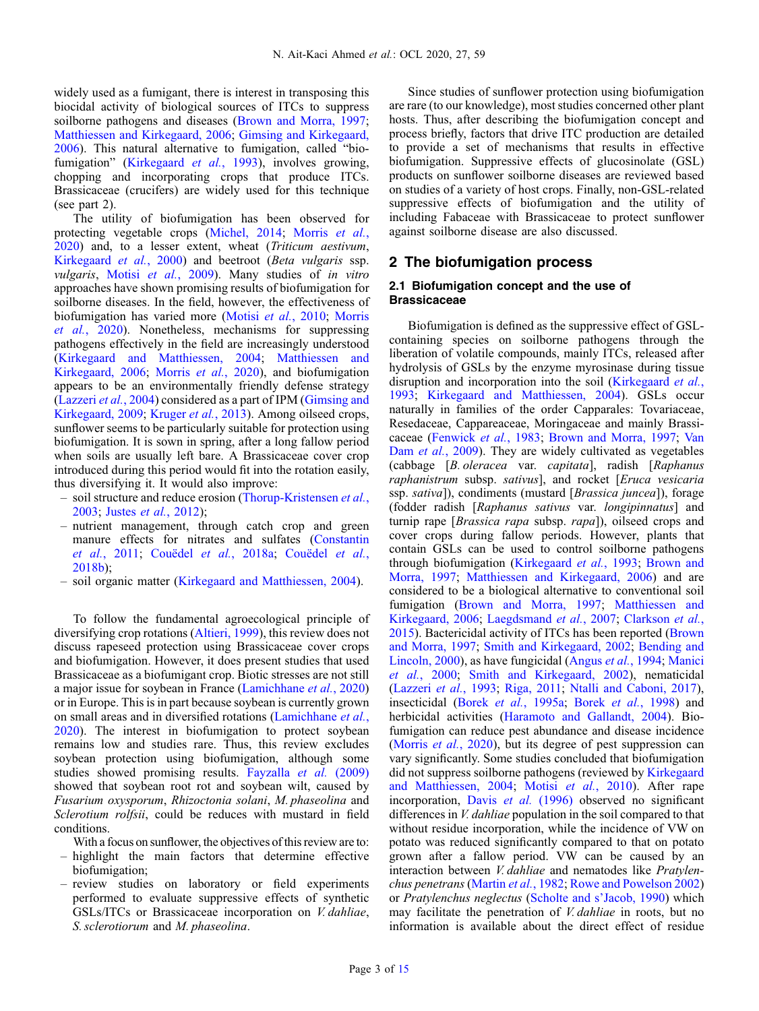widely used as a fumigant, there is interest in transposing this biocidal activity of biological sources of ITCs to suppress soilborne pathogens and diseases [\(Brown and Morra, 1997](#page-12-0); [Matthiessen and Kirkegaard, 2006;](#page-13-0) [Gimsing and Kirkegaard,](#page-12-0) [2006](#page-12-0)). This natural alternative to fumigation, called "bio-fumigation" ([Kirkegaard](#page-13-0) et al., 1993), involves growing, chopping and incorporating crops that produce ITCs. Brassicaceae (crucifers) are widely used for this technique (see part 2).

The utility of biofumigation has been observed for protecting vegetable crops ([Michel, 2014](#page-13-0); [Morris](#page-13-0) et al., [2020](#page-13-0)) and, to a lesser extent, wheat (Triticum aestivum, [Kirkegaard](#page-13-0) et al., 2000) and beetroot (Beta vulgaris ssp. vulgaris, Motisi et al.[, 2009\)](#page-13-0). Many studies of in vitro approaches have shown promising results of biofumigation for soilborne diseases. In the field, however, the effectiveness of biofumigation has varied more (Motisi et al.[, 2010;](#page-14-0) [Morris](#page-13-0) et al.[, 2020\)](#page-13-0). Nonetheless, mechanisms for suppressing pathogens effectively in the field are increasingly understood ([Kirkegaard and Matthiessen, 2004;](#page-13-0) [Matthiessen and](#page-13-0) [Kirkegaard, 2006;](#page-13-0) Morris et al.[, 2020\)](#page-13-0), and biofumigation appears to be an environmentally friendly defense strategy ([Lazzeri](#page-13-0) et al., 2004) considered as a part of IPM [\(Gimsing and](#page-12-0) [Kirkegaard, 2009](#page-12-0); [Kruger](#page-13-0) et al., 2013). Among oilseed crops, sunflower seems to be particularly suitable for protection using biofumigation. It is sown in spring, after a long fallow period when soils are usually left bare. A Brassicaceae cover crop introduced during this period would fit into the rotation easily, thus diversifying it. It would also improve:

- soil structure and reduce erosion [\(Thorup-Kristensen](#page-14-0) et al., [2003;](#page-14-0) Justes et al.[, 2012\)](#page-12-0);
- nutrient management, through catch crop and green manure effects for nitrates and sulfates ([Constantin](#page-12-0) et al.[, 2011](#page-12-0); Couëdel et al.[, 2018a;](#page-12-0) [Couëdel](#page-12-0) et al., [2018b\)](#page-12-0);
- soil organic matter ([Kirkegaard and Matthiessen, 2004\)](#page-13-0).

To follow the fundamental agroecological principle of diversifying crop rotations ([Altieri, 1999](#page-11-0)), this review does not discuss rapeseed protection using Brassicaceae cover crops and biofumigation. However, it does present studies that used Brassicaceae as a biofumigant crop. Biotic stresses are not still a major issue for soybean in France ([Lamichhane](#page-13-0) et al., 2020) or in Europe. This is in part because soybean is currently grown on small areas and in diversified rotations [\(Lamichhane](#page-13-0) et al., [2020](#page-13-0)). The interest in biofumigation to protect soybean remains low and studies rare. Thus, this review excludes soybean protection using biofumigation, although some studies showed promising results. [Fayzalla](#page-12-0) et al. (2009) showed that soybean root rot and soybean wilt, caused by Fusarium oxysporum, Rhizoctonia solani, M. phaseolina and Sclerotium rolfsii, could be reduces with mustard in field conditions.

- With a focus on sunflower, the objectives of this review are to:
- highlight the main factors that determine effective biofumigation;
- review studies on laboratory or field experiments performed to evaluate suppressive effects of synthetic GSLs/ITCs or Brassicaceae incorporation on V. dahliae, S. sclerotiorum and M. phaseolina.

Since studies of sunflower protection using biofumigation are rare (to our knowledge), most studies concerned other plant hosts. Thus, after describing the biofumigation concept and process briefly, factors that drive ITC production are detailed to provide a set of mechanisms that results in effective biofumigation. Suppressive effects of glucosinolate (GSL) products on sunflower soilborne diseases are reviewed based on studies of a variety of host crops. Finally, non-GSL-related suppressive effects of biofumigation and the utility of including Fabaceae with Brassicaceae to protect sunflower against soilborne disease are also discussed.

### 2 The biofumigation process

#### 2.1 Biofumigation concept and the use of **Brassicaceae**

Biofumigation is defined as the suppressive effect of GSLcontaining species on soilborne pathogens through the liberation of volatile compounds, mainly ITCs, released after hydrolysis of GSLs by the enzyme myrosinase during tissue disruption and incorporation into the soil ([Kirkegaard](#page-13-0) *et al.*, [1993](#page-13-0); [Kirkegaard and Matthiessen, 2004](#page-13-0)). GSLs occur naturally in families of the order Capparales: Tovariaceae, Resedaceae, Cappareaceae, Moringaceae and mainly Brassicaceae ([Fenwick](#page-12-0) et al., 1983; [Brown and Morra, 1997;](#page-12-0) [Van](#page-14-0) Dam *et al.*[, 2009\)](#page-14-0). They are widely cultivated as vegetables (cabbage [B. oleracea var. capitata], radish [Raphanus raphanistrum subsp. sativus], and rocket [Eruca vesicaria ssp. sativa]), condiments (mustard [Brassica juncea]), forage (fodder radish [Raphanus sativus var. longipinnatus] and turnip rape [Brassica rapa subsp. rapa]), oilseed crops and cover crops during fallow periods. However, plants that contain GSLs can be used to control soilborne pathogens through biofumigation [\(Kirkegaard](#page-13-0) et al., 1993; [Brown and](#page-12-0) [Morra, 1997](#page-12-0); [Matthiessen and Kirkegaard, 2006](#page-13-0)) and are considered to be a biological alternative to conventional soil fumigation [\(Brown and Morra, 1997](#page-12-0); [Matthiessen and](#page-13-0) [Kirkegaard, 2006](#page-13-0); [Laegdsmand](#page-13-0) et al., 2007; [Clarkson](#page-12-0) et al., [2015](#page-12-0)). Bactericidal activity of ITCs has been reported ([Brown](#page-12-0) [and Morra, 1997;](#page-12-0) [Smith and Kirkegaard, 2002](#page-14-0); [Bending and](#page-11-0) [Lincoln, 2000](#page-11-0)), as have fungicidal ([Angus](#page-11-0) et al., 1994; [Manici](#page-13-0) et al.[, 2000;](#page-13-0) [Smith and Kirkegaard, 2002\)](#page-14-0), nematicidal ([Lazzeri](#page-13-0) et al., 1993; [Riga, 2011;](#page-14-0) [Ntalli and Caboni, 2017\)](#page-14-0), insecticidal (Borek et al.[, 1995a;](#page-11-0) Borek et al.[, 1998](#page-12-0)) and herbicidal activities ([Haramoto and Gallandt, 2004\)](#page-12-0). Biofumigation can reduce pest abundance and disease incidence ([Morris](#page-13-0) *et al.*, 2020), but its degree of pest suppression can vary significantly. Some studies concluded that biofumigation did not suppress soilborne pathogens (reviewed by [Kirkegaard](#page-13-0) [and Matthiessen, 2004;](#page-13-0) Motisi et al.[, 2010](#page-14-0)). After rape incorporation, Davis et al. [\(1996\)](#page-12-0) observed no significant differences in V. dahliae population in the soil compared to that without residue incorporation, while the incidence of VW on potato was reduced significantly compared to that on potato grown after a fallow period. VW can be caused by an interaction between V. dahliae and nematodes like Pratylenchus penetrans [\(Martin](#page-13-0) et al., 1982; [Rowe and Powelson 2002](#page-14-0)) or Pratylenchus neglectus [\(Scholte and s](#page-14-0)'Jacob, 1990) which may facilitate the penetration of *V. dahliae* in roots, but no information is available about the direct effect of residue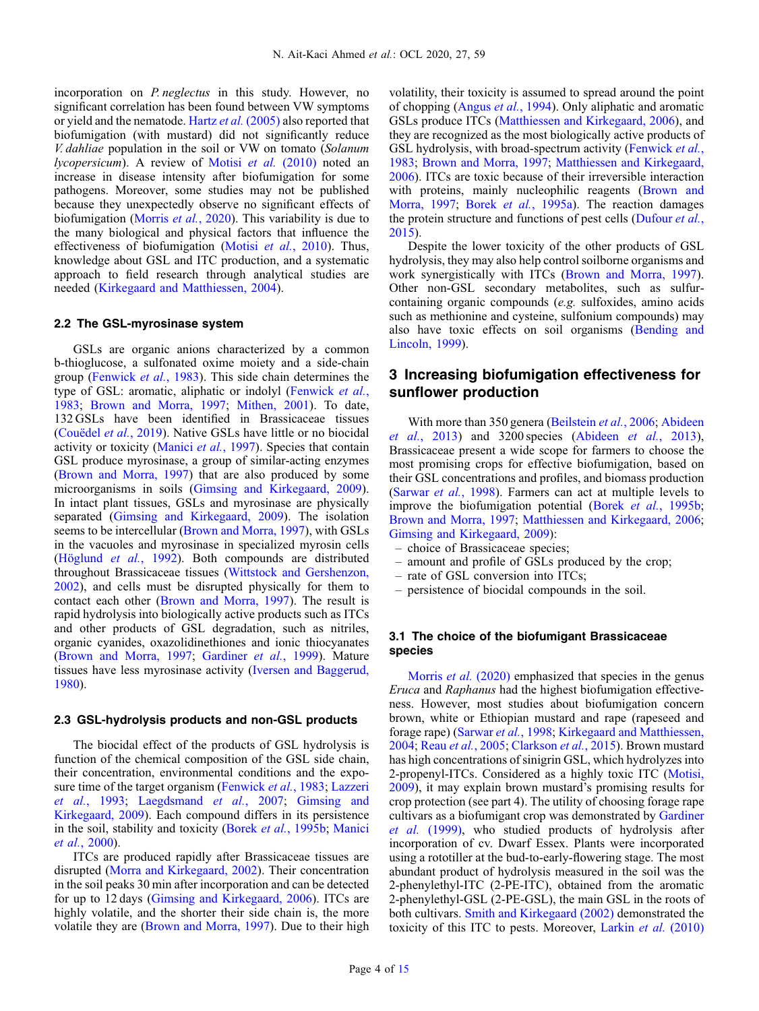incorporation on *P. neglectus* in this study. However, no significant correlation has been found between VW symptoms or yield and the nematode. Hartz et al. [\(2005\)](#page-12-0) also reported that biofumigation (with mustard) did not significantly reduce V. dahliae population in the soil or VW on tomato (Solanum lycopersicum). A review of Motisi et al. [\(2010\)](#page-14-0) noted an increase in disease intensity after biofumigation for some pathogens. Moreover, some studies may not be published because they unexpectedly observe no significant effects of biofumigation [\(Morris](#page-13-0) et al., 2020). This variability is due to the many biological and physical factors that influence the effectiveness of biofumigation (Motisi et al.[, 2010\)](#page-14-0). Thus, knowledge about GSL and ITC production, and a systematic approach to field research through analytical studies are needed [\(Kirkegaard and Matthiessen, 2004](#page-13-0)).

#### 2.2 The GSL-myrosinase system

GSLs are organic anions characterized by a common b-thioglucose, a sulfonated oxime moiety and a side-chain group [\(Fenwick](#page-12-0) et al., 1983). This side chain determines the type of GSL: aromatic, aliphatic or indolyl ([Fenwick](#page-12-0) et al., [1983](#page-12-0); [Brown and Morra, 1997](#page-12-0); [Mithen, 2001\)](#page-13-0). To date, 132 GSLs have been identified in Brassicaceae tissues ([Couëdel](#page-12-0) et al., 2019). Native GSLs have little or no biocidal activity or toxicity [\(Manici](#page-13-0) et al., 1997). Species that contain GSL produce myrosinase, a group of similar-acting enzymes ([Brown and Morra, 1997](#page-12-0)) that are also produced by some microorganisms in soils [\(Gimsing and Kirkegaard, 2009](#page-12-0)). In intact plant tissues, GSLs and myrosinase are physically separated [\(Gimsing and Kirkegaard, 2009\)](#page-12-0). The isolation seems to be intercellular [\(Brown and Morra, 1997](#page-12-0)), with GSLs in the vacuoles and myrosinase in specialized myrosin cells ([Höglund](#page-12-0) et al., 1992). Both compounds are distributed throughout Brassicaceae tissues [\(Wittstock and Gershenzon,](#page-14-0) [2002](#page-14-0)), and cells must be disrupted physically for them to contact each other ([Brown and Morra, 1997](#page-12-0)). The result is rapid hydrolysis into biologically active products such as ITCs and other products of GSL degradation, such as nitriles, organic cyanides, oxazolidinethiones and ionic thiocyanates ([Brown and Morra, 1997;](#page-12-0) [Gardiner](#page-12-0) et al., 1999). Mature tissues have less myrosinase activity [\(Iversen and Baggerud,](#page-12-0) [1980](#page-12-0)).

#### 2.3 GSL-hydrolysis products and non-GSL products

The biocidal effect of the products of GSL hydrolysis is function of the chemical composition of the GSL side chain, their concentration, environmental conditions and the expo-sure time of the target organism ([Fenwick](#page-12-0) et al., 1983; [Lazzeri](#page-13-0) et al.[, 1993;](#page-13-0) [Laegdsmand](#page-13-0) et al., 2007; [Gimsing and](#page-12-0) [Kirkegaard, 2009](#page-12-0)). Each compound differs in its persistence in the soil, stability and toxicity (Borek et al.[, 1995b;](#page-12-0) [Manici](#page-13-0) et al.[, 2000](#page-13-0)).

ITCs are produced rapidly after Brassicaceae tissues are disrupted [\(Morra and Kirkegaard, 2002\)](#page-13-0). Their concentration in the soil peaks 30 min after incorporation and can be detected for up to 12 days ([Gimsing and Kirkegaard, 2006](#page-12-0)). ITCs are highly volatile, and the shorter their side chain is, the more volatile they are ([Brown and Morra, 1997\)](#page-12-0). Due to their high volatility, their toxicity is assumed to spread around the point of chopping [\(Angus](#page-11-0) et al., 1994). Only aliphatic and aromatic GSLs produce ITCs ([Matthiessen and Kirkegaard, 2006\)](#page-13-0), and they are recognized as the most biologically active products of GSL hydrolysis, with broad-spectrum activity ([Fenwick](#page-12-0) et al., [1983](#page-12-0); [Brown and Morra, 1997](#page-12-0); [Matthiessen and Kirkegaard,](#page-13-0) [2006](#page-13-0)). ITCs are toxic because of their irreversible interaction with proteins, mainly nucleophilic reagents ([Brown and](#page-12-0) [Morra, 1997;](#page-12-0) Borek *et al.*[, 1995a](#page-11-0)). The reaction damages the protein structure and functions of pest cells [\(Dufour](#page-12-0) *et al.*, [2015](#page-12-0)).

Despite the lower toxicity of the other products of GSL hydrolysis, they may also help control soilborne organisms and work synergistically with ITCs ([Brown and Morra, 1997\)](#page-12-0). Other non-GSL secondary metabolites, such as sulfurcontaining organic compounds (e.g. sulfoxides, amino acids such as methionine and cysteine, sulfonium compounds) may also have toxic effects on soil organisms [\(Bending and](#page-11-0) [Lincoln, 1999](#page-11-0)).

# 3 Increasing biofumigation effectiveness for sunflower production

With more than 350 genera ([Beilstein](#page-11-0) et al., 2006; [Abideen](#page-11-0) et al.[, 2013](#page-11-0)) and 3200 species [\(Abideen](#page-11-0) et al., 2013), Brassicaceae present a wide scope for farmers to choose the most promising crops for effective biofumigation, based on their GSL concentrations and profiles, and biomass production ([Sarwar](#page-14-0) et al., 1998). Farmers can act at multiple levels to improve the biofumigation potential (Borek et al.[, 1995b;](#page-12-0) [Brown and Morra, 1997](#page-12-0); [Matthiessen and Kirkegaard, 2006;](#page-13-0) [Gimsing and Kirkegaard, 2009](#page-12-0)):

- choice of Brassicaceae species;
- amount and profile of GSLs produced by the crop;
- rate of GSL conversion into ITCs;
- persistence of biocidal compounds in the soil.

#### 3.1 The choice of the biofumigant Brassicaceae species

[Morris](#page-13-0) *et al.* (2020) emphasized that species in the genus Eruca and Raphanus had the highest biofumigation effectiveness. However, most studies about biofumigation concern brown, white or Ethiopian mustard and rape (rapeseed and forage rape) [\(Sarwar](#page-14-0) et al., 1998; [Kirkegaard and Matthiessen,](#page-13-0) [2004](#page-13-0); Reau et al.[, 2005;](#page-14-0) [Clarkson](#page-12-0) et al., 2015). Brown mustard has high concentrations of sinigrin GSL, which hydrolyzes into 2-propenyl-ITCs. Considered as a highly toxic ITC [\(Motisi,](#page-13-0) [2009](#page-13-0)), it may explain brown mustard's promising results for crop protection (see part 4). The utility of choosing forage rape cultivars as a biofumigant crop was demonstrated by [Gardiner](#page-12-0) et al. [\(1999\),](#page-12-0) who studied products of hydrolysis after incorporation of cv. Dwarf Essex. Plants were incorporated using a rototiller at the bud-to-early-flowering stage. The most abundant product of hydrolysis measured in the soil was the 2-phenylethyl-ITC (2-PE-ITC), obtained from the aromatic 2-phenylethyl-GSL (2-PE-GSL), the main GSL in the roots of both cultivars. [Smith and Kirkegaard \(2002\)](#page-14-0) demonstrated the toxicity of this ITC to pests. Moreover, Larkin et al. [\(2010\)](#page-13-0)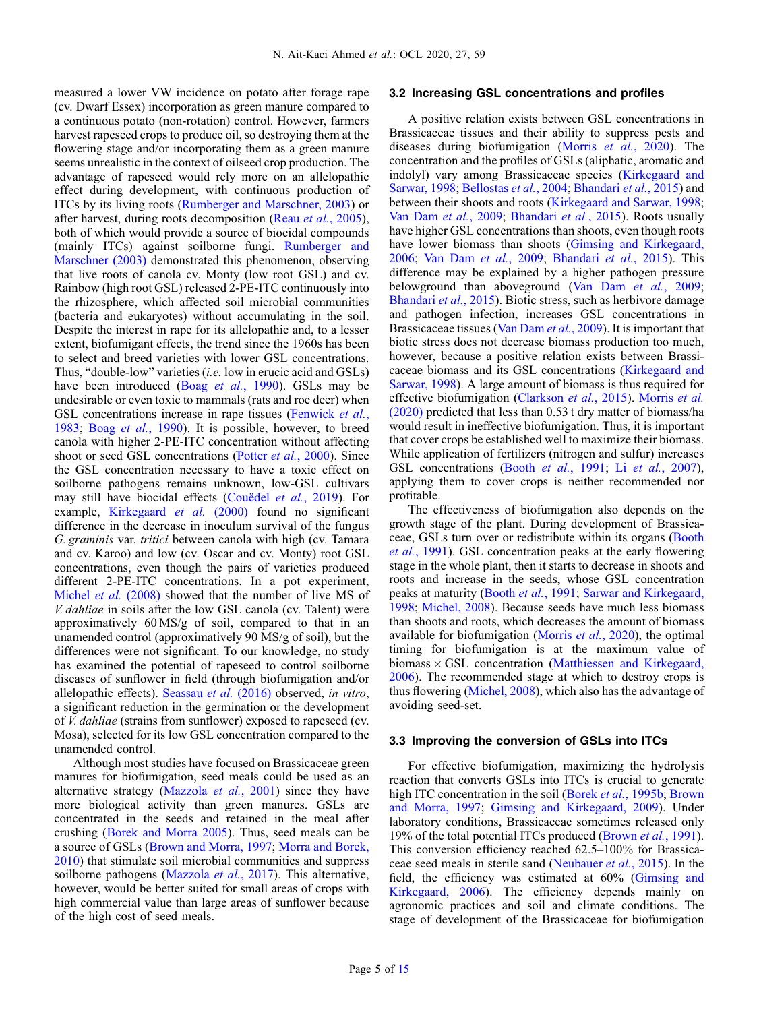measured a lower VW incidence on potato after forage rape (cv. Dwarf Essex) incorporation as green manure compared to a continuous potato (non-rotation) control. However, farmers harvest rapeseed crops to produce oil, so destroying them at the flowering stage and/or incorporating them as a green manure seems unrealistic in the context of oilseed crop production. The advantage of rapeseed would rely more on an allelopathic effect during development, with continuous production of ITCs by its living roots ([Rumberger and Marschner, 2003](#page-14-0)) or after harvest, during roots decomposition (Reau *et al.*[, 2005](#page-14-0)), both of which would provide a source of biocidal compounds (mainly ITCs) against soilborne fungi. [Rumberger and](#page-14-0) [Marschner \(2003\)](#page-14-0) demonstrated this phenomenon, observing that live roots of canola cv. Monty (low root GSL) and cv. Rainbow (high root GSL) released 2-PE-ITC continuously into the rhizosphere, which affected soil microbial communities (bacteria and eukaryotes) without accumulating in the soil. Despite the interest in rape for its allelopathic and, to a lesser extent, biofumigant effects, the trend since the 1960s has been to select and breed varieties with lower GSL concentrations. Thus, "double-low" varieties (i.e. low in erucic acid and GSLs) have been introduced (Boag et al.[, 1990\)](#page-11-0). GSLs may be undesirable or even toxic to mammals (rats and roe deer) when GSL concentrations increase in rape tissues [\(Fenwick](#page-12-0) et al., [1983](#page-12-0); Boag et al.[, 1990\)](#page-11-0). It is possible, however, to breed canola with higher 2-PE-ITC concentration without affecting shoot or seed GSL concentrations (Potter et al.[, 2000\)](#page-14-0). Since the GSL concentration necessary to have a toxic effect on soilborne pathogens remains unknown, low-GSL cultivars may still have biocidal effects ([Couëdel](#page-12-0) et al., 2019). For example, [Kirkegaard](#page-13-0) et al. (2000) found no significant difference in the decrease in inoculum survival of the fungus G. graminis var. tritici between canola with high (cv. Tamara and cv. Karoo) and low (cv. Oscar and cv. Monty) root GSL concentrations, even though the pairs of varieties produced different 2-PE-ITC concentrations. In a pot experiment, [Michel](#page-13-0) *et al.* (2008) showed that the number of live MS of V. dahliae in soils after the low GSL canola (cv. Talent) were approximatively 60 MS/g of soil, compared to that in an unamended control (approximatively 90 MS/g of soil), but the differences were not significant. To our knowledge, no study has examined the potential of rapeseed to control soilborne diseases of sunflower in field (through biofumigation and/or allelopathic effects). [Seassau](#page-14-0) et al. (2016) observed, in vitro, a significant reduction in the germination or the development of V. dahliae (strains from sunflower) exposed to rapeseed (cv. Mosa), selected for its low GSL concentration compared to the unamended control.

Although most studies have focused on Brassicaceae green manures for biofumigation, seed meals could be used as an alternative strategy ([Mazzola](#page-13-0) et al., 2001) since they have more biological activity than green manures. GSLs are concentrated in the seeds and retained in the meal after crushing ([Borek and Morra 2005\)](#page-12-0). Thus, seed meals can be a source of GSLs [\(Brown and Morra, 1997;](#page-12-0) [Morra and Borek,](#page-13-0) [2010](#page-13-0)) that stimulate soil microbial communities and suppress soilborne pathogens [\(Mazzola](#page-13-0) et al., 2017). This alternative, however, would be better suited for small areas of crops with high commercial value than large areas of sunflower because of the high cost of seed meals.

#### 3.2 Increasing GSL concentrations and profiles

A positive relation exists between GSL concentrations in Brassicaceae tissues and their ability to suppress pests and diseases during biofumigation (Morris et  $al$ [, 2020\)](#page-13-0). The concentration and the profiles of GSLs (aliphatic, aromatic and indolyl) vary among Brassicaceae species ([Kirkegaard and](#page-13-0) [Sarwar, 1998;](#page-13-0) [Bellostas](#page-11-0) et al., 2004; [Bhandari](#page-11-0) et al., 2015) and between their shoots and roots ([Kirkegaard and Sarwar, 1998;](#page-13-0) [Van Dam](#page-14-0) et al., 2009; [Bhandari](#page-11-0) et al., 2015). Roots usually have higher GSL concentrations than shoots, even though roots have lower biomass than shoots ([Gimsing and Kirkegaard,](#page-12-0) [2006](#page-12-0); [Van Dam](#page-14-0) et al., 2009; [Bhandari](#page-11-0) et al., 2015). This difference may be explained by a higher pathogen pressure belowground than aboveground ([Van Dam](#page-14-0) et al., 2009; [Bhandari](#page-11-0) et al., 2015). Biotic stress, such as herbivore damage and pathogen infection, increases GSL concentrations in Brassicaceae tissues ([Van Dam](#page-14-0) et al., 2009). It is important that biotic stress does not decrease biomass production too much, however, because a positive relation exists between Brassicaceae biomass and its GSL concentrations [\(Kirkegaard and](#page-13-0) [Sarwar, 1998](#page-13-0)). A large amount of biomass is thus required for effective biofumigation ([Clarkson](#page-12-0) et al., 2015). [Morris](#page-13-0) et al. [\(2020\)](#page-13-0) predicted that less than 0.53 t dry matter of biomass/ha would result in ineffective biofumigation. Thus, it is important that cover crops be established well to maximize their biomass. While application of fertilizers (nitrogen and sulfur) increases GSL concentrations (Booth *et al.*[, 1991](#page-11-0); Li *et al.*[, 2007\)](#page-13-0), applying them to cover crops is neither recommended nor profitable.

The effectiveness of biofumigation also depends on the growth stage of the plant. During development of Brassicaceae, GSLs turn over or redistribute within its organs [\(Booth](#page-11-0) et al.[, 1991\)](#page-11-0). GSL concentration peaks at the early flowering stage in the whole plant, then it starts to decrease in shoots and roots and increase in the seeds, whose GSL concentration peaks at maturity (Booth et al.[, 1991](#page-11-0); [Sarwar and Kirkegaard,](#page-14-0) [1998](#page-14-0); [Michel, 2008](#page-13-0)). Because seeds have much less biomass than shoots and roots, which decreases the amount of biomass available for biofumigation ([Morris](#page-13-0) et al., 2020), the optimal timing for biofumigation is at the maximum value of biomass  $\times$  GSL concentration [\(Matthiessen and Kirkegaard,](#page-13-0) [2006](#page-13-0)). The recommended stage at which to destroy crops is thus flowering ([Michel, 2008](#page-13-0)), which also has the advantage of avoiding seed-set.

#### 3.3 Improving the conversion of GSLs into ITCs

For effective biofumigation, maximizing the hydrolysis reaction that converts GSLs into ITCs is crucial to generate high ITC concentration in the soil (Borek et al.[, 1995b;](#page-12-0) [Brown](#page-12-0) [and Morra, 1997](#page-12-0); [Gimsing and Kirkegaard, 2009\)](#page-12-0). Under laboratory conditions, Brassicaceae sometimes released only 19% of the total potential ITCs produced [\(Brown](#page-12-0) et al., 1991). This conversion efficiency reached 62.5–100% for Brassicaceae seed meals in sterile sand [\(Neubauer](#page-14-0) et al., 2015). In the field, the efficiency was estimated at 60% ([Gimsing and](#page-12-0) [Kirkegaard, 2006\)](#page-12-0). The efficiency depends mainly on agronomic practices and soil and climate conditions. The stage of development of the Brassicaceae for biofumigation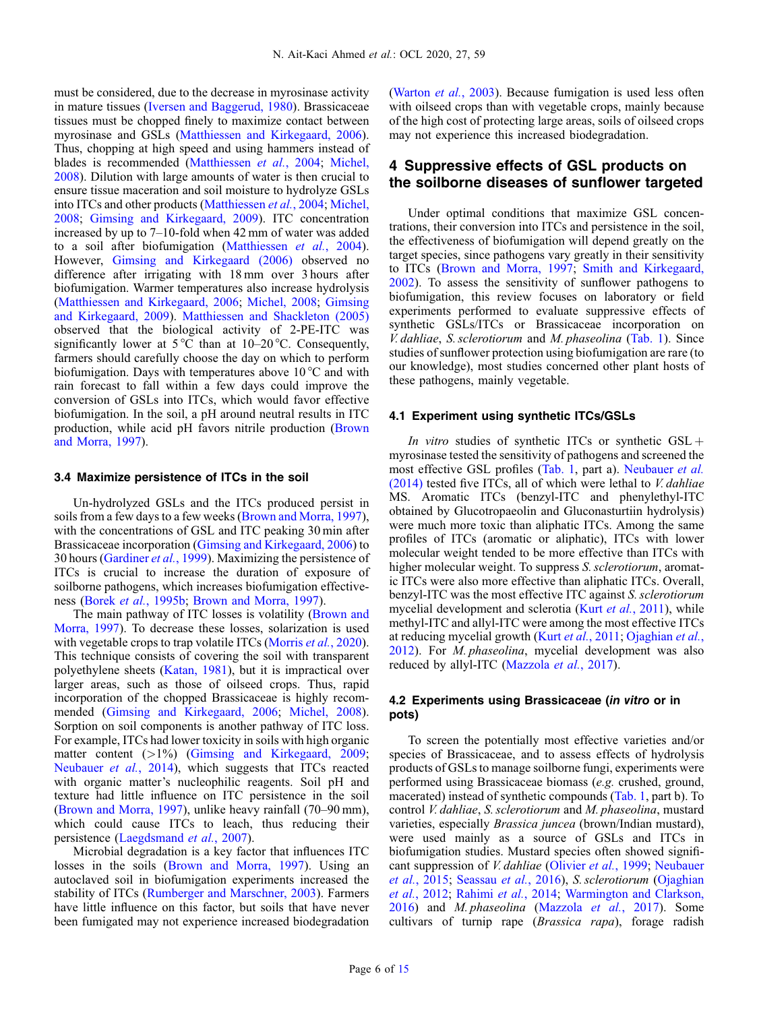must be considered, due to the decrease in myrosinase activity in mature tissues [\(Iversen and Baggerud, 1980\)](#page-12-0). Brassicaceae tissues must be chopped finely to maximize contact between myrosinase and GSLs [\(Matthiessen and Kirkegaard, 2006](#page-13-0)). Thus, chopping at high speed and using hammers instead of blades is recommended ([Matthiessen](#page-13-0) et al., 2004; [Michel,](#page-13-0) [2008](#page-13-0)). Dilution with large amounts of water is then crucial to ensure tissue maceration and soil moisture to hydrolyze GSLs into ITCs and other products [\(Matthiessen](#page-13-0) et al., 2004; [Michel,](#page-13-0) [2008](#page-13-0); [Gimsing and Kirkegaard, 2009\)](#page-12-0). ITC concentration increased by up to 7–10-fold when 42 mm of water was added to a soil after biofumigation ([Matthiessen](#page-13-0) et al., 2004). However, [Gimsing and Kirkegaard \(2006\)](#page-12-0) observed no difference after irrigating with 18 mm over 3 hours after biofumigation. Warmer temperatures also increase hydrolysis ([Matthiessen and Kirkegaard, 2006](#page-13-0); [Michel, 2008;](#page-13-0) [Gimsing](#page-12-0) [and Kirkegaard, 2009](#page-12-0)). [Matthiessen and Shackleton \(2005\)](#page-13-0) observed that the biological activity of 2-PE-ITC was significantly lower at  $5^{\circ}$ C than at  $10-20^{\circ}$ C. Consequently, farmers should carefully choose the day on which to perform biofumigation. Days with temperatures above 10 °C and with rain forecast to fall within a few days could improve the conversion of GSLs into ITCs, which would favor effective biofumigation. In the soil, a pH around neutral results in ITC production, while acid pH favors nitrile production ([Brown](#page-12-0) [and Morra, 1997\)](#page-12-0).

# 3.4 Maximize persistence of ITCs in the soil

Un-hydrolyzed GSLs and the ITCs produced persist in soils from a few days to a few weeks ([Brown and Morra, 1997](#page-12-0)), with the concentrations of GSL and ITC peaking 30 min after Brassicaceae incorporation ([Gimsing and Kirkegaard, 2006\)](#page-12-0) to 30 hours ([Gardiner](#page-12-0) et al., 1999). Maximizing the persistence of ITCs is crucial to increase the duration of exposure of soilborne pathogens, which increases biofumigation effectiveness (Borek et al.[, 1995b](#page-12-0); [Brown and Morra, 1997](#page-12-0)).

The main pathway of ITC losses is volatility [\(Brown and](#page-12-0) [Morra, 1997\)](#page-12-0). To decrease these losses, solarization is used with vegetable crops to trap volatile ITCs ([Morris](#page-13-0) *et al.*, 2020). This technique consists of covering the soil with transparent polyethylene sheets ([Katan, 1981\)](#page-13-0), but it is impractical over larger areas, such as those of oilseed crops. Thus, rapid incorporation of the chopped Brassicaceae is highly recommended ([Gimsing and Kirkegaard, 2006](#page-12-0); [Michel, 2008](#page-13-0)). Sorption on soil components is another pathway of ITC loss. For example, ITCs had lower toxicity in soils with high organic matter content (>1%) ([Gimsing and Kirkegaard, 2009](#page-12-0); [Neubauer](#page-14-0) et al., 2014), which suggests that ITCs reacted with organic matter's nucleophilic reagents. Soil pH and texture had little influence on ITC persistence in the soil ([Brown and Morra, 1997\)](#page-12-0), unlike heavy rainfall (70–90 mm), which could cause ITCs to leach, thus reducing their persistence [\(Laegdsmand](#page-13-0) et al., 2007).

Microbial degradation is a key factor that influences ITC losses in the soils ([Brown and Morra, 1997\)](#page-12-0). Using an autoclaved soil in biofumigation experiments increased the stability of ITCs [\(Rumberger and Marschner, 2003](#page-14-0)). Farmers have little influence on this factor, but soils that have never been fumigated may not experience increased biodegradation

([Warton](#page-14-0) et al., 2003). Because fumigation is used less often with oilseed crops than with vegetable crops, mainly because of the high cost of protecting large areas, soils of oilseed crops may not experience this increased biodegradation.

# 4 Suppressive effects of GSL products on the soilborne diseases of sunflower targeted

Under optimal conditions that maximize GSL concentrations, their conversion into ITCs and persistence in the soil, the effectiveness of biofumigation will depend greatly on the target species, since pathogens vary greatly in their sensitivity to ITCs [\(Brown and Morra, 1997;](#page-12-0) [Smith and Kirkegaard,](#page-14-0) [2002](#page-14-0)). To assess the sensitivity of sunflower pathogens to biofumigation, this review focuses on laboratory or field experiments performed to evaluate suppressive effects of synthetic GSLs/ITCs or Brassicaceae incorporation on V. dahliae, S. sclerotiorum and M. phaseolina [\(Tab. 1](#page-6-0)). Since studies of sunflower protection using biofumigation are rare (to our knowledge), most studies concerned other plant hosts of these pathogens, mainly vegetable.

#### 4.1 Experiment using synthetic ITCs/GSLs

In vitro studies of synthetic ITCs or synthetic  $GSL +$ myrosinase tested the sensitivity of pathogens and screened the most effective GSL profiles [\(Tab. 1](#page-6-0), part a). [Neubauer](#page-14-0) et al.  $(2014)$  tested five ITCs, all of which were lethal to *V. dahliae* MS. Aromatic ITCs (benzyl-ITC and phenylethyl-ITC obtained by Glucotropaeolin and Gluconasturtiin hydrolysis) were much more toxic than aliphatic ITCs. Among the same profiles of ITCs (aromatic or aliphatic), ITCs with lower molecular weight tended to be more effective than ITCs with higher molecular weight. To suppress S. sclerotiorum, aromatic ITCs were also more effective than aliphatic ITCs. Overall, benzyl-ITC was the most effective ITC against S. sclerotiorum mycelial development and sclerotia (Kurt et al.[, 2011\)](#page-13-0), while methyl-ITC and allyl-ITC were among the most effective ITCs at reducing mycelial growth (Kurt et al.[, 2011;](#page-13-0) [Ojaghian](#page-14-0) et al., [2012](#page-14-0)). For M. phaseolina, mycelial development was also reduced by allyl-ITC [\(Mazzola](#page-13-0) et al., 2017).

### 4.2 Experiments using Brassicaceae (in vitro or in pots)

To screen the potentially most effective varieties and/or species of Brassicaceae, and to assess effects of hydrolysis products of GSLs to manage soilborne fungi, experiments were performed using Brassicaceae biomass (e.g. crushed, ground, macerated) instead of synthetic compounds [\(Tab. 1,](#page-6-0) part b). To control V. dahliae, S. sclerotiorum and M. phaseolina, mustard varieties, especially Brassica juncea (brown/Indian mustard), were used mainly as a source of GSLs and ITCs in biofumigation studies. Mustard species often showed significant suppression of V. dahliae ([Olivier](#page-14-0) et al., 1999; [Neubauer](#page-14-0) et al.[, 2015](#page-14-0); [Seassau](#page-14-0) et al., 2016), S. sclerotiorum [\(Ojaghian](#page-14-0) et al.[, 2012](#page-14-0); [Rahimi](#page-14-0) et al., 2014; [Warmington and Clarkson,](#page-14-0) [2016](#page-14-0)) and M. phaseolina ([Mazzola](#page-13-0) et al., 2017). Some cultivars of turnip rape (Brassica rapa), forage radish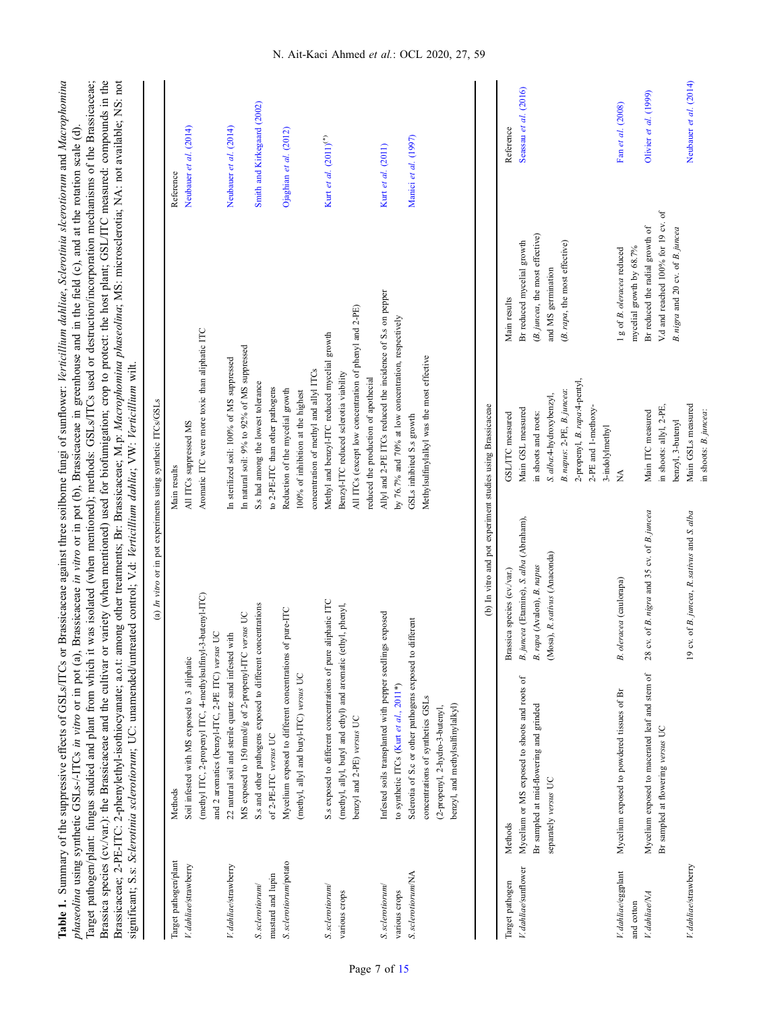| GSL/ITC measured<br>Brassica species (cv./var.)                                                                                                                                                                                                                                                                                                                             | Methods                                                                                            | Target pathogen                     |
|-----------------------------------------------------------------------------------------------------------------------------------------------------------------------------------------------------------------------------------------------------------------------------------------------------------------------------------------------------------------------------|----------------------------------------------------------------------------------------------------|-------------------------------------|
| (b) In vitro and pot experiment studies using Brassicaceae                                                                                                                                                                                                                                                                                                                  |                                                                                                    |                                     |
|                                                                                                                                                                                                                                                                                                                                                                             | benzyl, and methylsulfinylalkyl)<br>(2-propenyl, 2-hydro-3-butenyl,                                |                                     |
| Methylsulfinylalkyl was the most effective                                                                                                                                                                                                                                                                                                                                  | concentrations of synthetics GSLs                                                                  |                                     |
| by 76.7% and 70% at low concentration, respectively<br>GSLs inhibited S.s growth                                                                                                                                                                                                                                                                                            | Sclerotia of S.c or other pathogens exposed to different<br>to synthetic ITCs (Kurt et al., 2011*) | S. sclerotiorum/NA<br>various crops |
| Allyl and 2-PE ITCs reduced the incidence of S.s on pepper                                                                                                                                                                                                                                                                                                                  | Infested soils transplanted with pepper seedlings exposed                                          | S. sclerotiorum                     |
| reduced the production of apothecial                                                                                                                                                                                                                                                                                                                                        |                                                                                                    |                                     |
| All ITCs (except low concentration of phenyl and 2-PE)                                                                                                                                                                                                                                                                                                                      | benzyl and 2-PE) versus UC                                                                         |                                     |
| Benzyl-ITC reduced sclerotia viability                                                                                                                                                                                                                                                                                                                                      | (methyl, allyl, butyl and ethyl) and aromatic (ethyl, phenyl,                                      | various crops                       |
| Methyl and benzyl-ITC reduced mycelial growth                                                                                                                                                                                                                                                                                                                               | S.s exposed to different concentrations of pure aliphatic ITC                                      | S. sclerotiorum                     |
| concentration of methyl and allyl ITCs                                                                                                                                                                                                                                                                                                                                      |                                                                                                    |                                     |
| 100% of inhibition at the highest                                                                                                                                                                                                                                                                                                                                           | (methyl, allyl and butyl-ITC) versus UC                                                            |                                     |
| Reduction of the mycelial growth<br>of pure-ITC                                                                                                                                                                                                                                                                                                                             | Mycelium exposed to different concentrations                                                       | S. sclerotiorum/potato              |
| to 2-PE-ITC than other pathogens                                                                                                                                                                                                                                                                                                                                            | of 2-PE-ITC versus UC                                                                              | mustard and lupin                   |
| S.s had among the lowest tolerance                                                                                                                                                                                                                                                                                                                                          | S.s and other pathogens exposed to different concentrations                                        | S. sclerotiorum                     |
| In natural soil: 9% to 92% of MS suppressed<br>$versus$ UC                                                                                                                                                                                                                                                                                                                  | MS exposed to 150 nmol/g of 2-propenyl-ITC                                                         |                                     |
| In sterilized soil: 100% of MS suppressed                                                                                                                                                                                                                                                                                                                                   | 22 natural soil and sterile quartz sand infested with                                              | V. dahliae/strawberry               |
|                                                                                                                                                                                                                                                                                                                                                                             | and 2 aromatics (benzyl-ITC, 2-PE ITC) versus UC                                                   |                                     |
| Aromatic ITC were more toxic than aliphatic ITC                                                                                                                                                                                                                                                                                                                             | (methyl ITC, 2-propenyl ITC, 4-methylsulfinyl-3-butenyl-ITC)                                       |                                     |
| All ITCs suppressed MS                                                                                                                                                                                                                                                                                                                                                      | Soil infested with MS exposed to 3 aliphatic                                                       | V. dahliae/strawberry               |
| Main results                                                                                                                                                                                                                                                                                                                                                                | Methods                                                                                            | Target pathogen/plant               |
| (a) In vitro or in pot experiments using synthetic ITCs/GSLs                                                                                                                                                                                                                                                                                                                |                                                                                                    |                                     |
| Brassicaceae; 2-PE-ITC: 2-phenylethyl-isothiocyanate; a.o.t: among other treatments; Br: Brassicaceae; M.p: Macrophomina phaseolina; MS: microsclerotia; NA: not available; NS: not<br>significant; S.s. Sclerotinia sclerotiorum; UC: unamended/untreated control; V.d. Verticillium dahlia; VW: Verticillium wilt.                                                        |                                                                                                    |                                     |
| Brassica species (cv./var.): the Brassicaceae and the cultivar or variety (when mentioned) used for biofumigation; crop to protect: the host plant; GSL/ITC measured: compounds in the<br>Target pathogen/plant: fungus studied and plant from which it was isolated (when mentioned); methods: GSLs/ITCs used or destruction/incorporation mechanisms of the Brassicaceae; |                                                                                                    |                                     |

Table 1. Summary of the suppressive effects of GSLs/ITCs or Brassicaceae against three soilborne fungi of sunflower: Verticillium dahliae, Sclerotinia slcerotiorum and Macrophomina

<span id="page-6-0"></span>Table 1. Summary of the suppressive effects of GSLs/ITCs or Brassicaceae against three soilborne fungi of sunflower: Verticillium dahliae, Sclerotioia slcerotiorum and Macrophomina

phaseolina using synthetic GSLs-/-ITCs in vitro or in pot (a), Brassicaceae in vitro or in pot (b), Brassicaceae in greenhouse and in the field (c), and at the rotation scale (d).

phaseolina using synthetic GSLs-/-ITCs in vitro or in pot (a), Brassicaceae in vitro or in pot (b), Brassicaceae in greenhouse and in the field (c), and at the rotation scale (d).

|                       |                                                                    | (b) In vitro and pot experiment studies using Brassicaceae |                                |                                    |                        |
|-----------------------|--------------------------------------------------------------------|------------------------------------------------------------|--------------------------------|------------------------------------|------------------------|
| l'arget pathogen      | Methods                                                            | Brassica species (cv./var.)                                | GSL/ITC measured               | Main results                       | Reference              |
|                       | V. dahliae/sunflower Mycelium or MS exposed to shoots and roots of | B.juncea (Etamine), S. alba (Abraham),                     | Main GSL measured              | Br reduced mycelial growth         | Seassau et al. (2016)  |
|                       | Br sampled at mid-flowering and grinded                            | .rapa (Avalon), B. napus<br>ల                              | in shoots and roots:           | (B. juncea, the most effective)    |                        |
|                       | separately versus UC                                               | (Mosa), R. sativus (Anaconda)                              | S. alba:4-hydroxybenzyl,       | and MS germination                 |                        |
|                       |                                                                    |                                                            | B. napus: 2-PE, B. juncea:     | (B. rapa, the most effective)      |                        |
|                       |                                                                    |                                                            | 2-propenyl, B. rapa: 4-pentyl, |                                    |                        |
|                       |                                                                    |                                                            | 2-PE and 1-methoxy-            |                                    |                        |
|                       |                                                                    |                                                            | 3-indolylmethyl                |                                    |                        |
| V. dahliae/eggplant   | Mycelium exposed to powdered tissues of Br                         | B. oleracea (caulorapa)                                    | Ź                              | 1g of B. oleracea reduced          | Fan et al. (2008)      |
| and cotton            |                                                                    |                                                            |                                | mycelial growth by 68.7%           |                        |
| V. dahliae/NA         | Mycelium exposed to macerated leaf and stem of                     | 28 cv. of B. nigra and 35 cv. of B. juncea                 | Main ITC measured              | Br reduced the radial growth of    | Olivier et al. (1999)  |
|                       | Br sampled at flowering versus UC                                  |                                                            | in shoots: allyl, 2-PE,        | V.d and reached 100% for 19 cv. of |                        |
|                       |                                                                    |                                                            | benzyl, 3-butenyl              | B. nigra and 20 cv. of B. juncea   |                        |
| V. dahliae/strawberry |                                                                    | 19 cv. of B. juncea, R. sativus and S. alba                | Main GSLs measured             |                                    | Neubauer et al. (2014) |
|                       |                                                                    |                                                            | in shoots: B. juncea:          |                                    |                        |

 $\widehat{+}$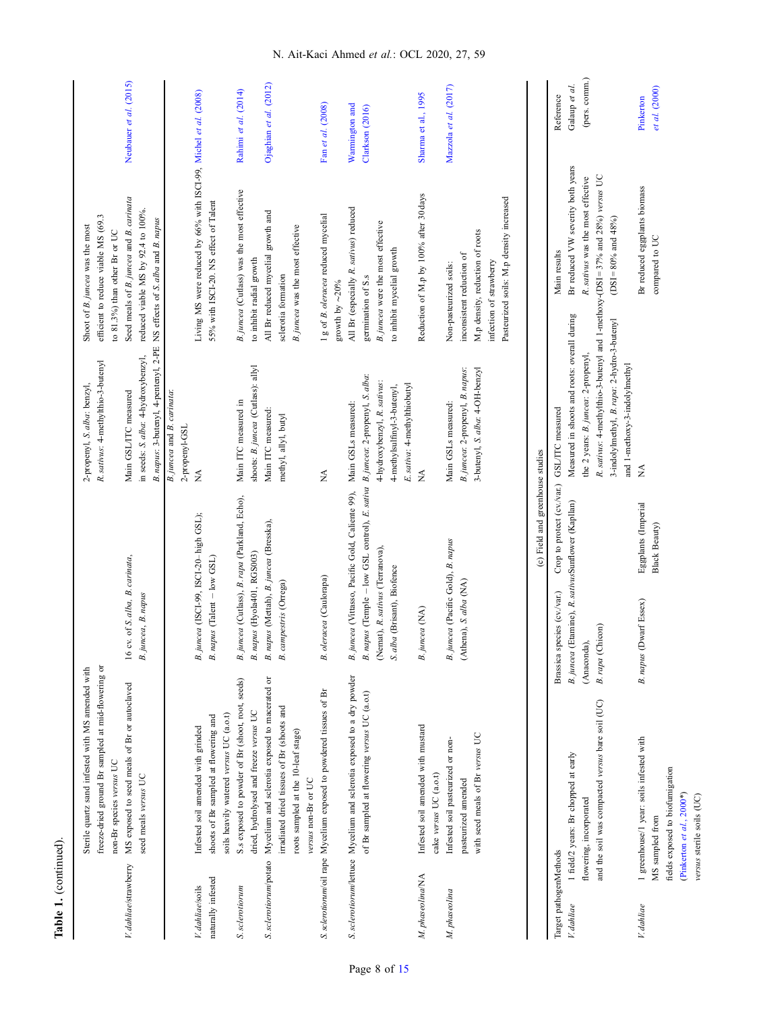|                        | Sterile quartz sand infested with MS amended with                      |                                                                                | 2-propenyl, S. alba: benzyl,                 | Shoot of B. juncea was the most                                              |                        |
|------------------------|------------------------------------------------------------------------|--------------------------------------------------------------------------------|----------------------------------------------|------------------------------------------------------------------------------|------------------------|
|                        | freeze-dried ground Br sampled at mid-flowering or                     |                                                                                | R. sativus: 4-methylthio-3-butenyl           | efficient to reduce viable MS (69.3                                          |                        |
|                        | non-Br species versus UC                                               |                                                                                |                                              | to 81.3%) than other Br or UC                                                |                        |
| V. dahliae/strawberry  | MS exposed to seed meals of Br or autoclaved                           | 16 cv. of S. alba, B. carinata,                                                | Main GSL/ITC measured                        | Seed meals of B. juncea and B. carinata                                      | Neubauer et al. (2015) |
|                        | seed meals versus UC                                                   | B.juncea, B. napus                                                             | in seeds: S. alba: 4-hydroxybenzyl,          | reduced viable MS by 92.4 to 100%.                                           |                        |
|                        |                                                                        |                                                                                | B. napus: 3-butenyl, 4-pentenyl, 2-PE        | NS effects of S. alba and B. napus                                           |                        |
|                        |                                                                        |                                                                                | B. juncea and B. carinata:                   |                                                                              |                        |
|                        |                                                                        |                                                                                | 2-propenyl-GSL                               |                                                                              |                        |
| V. dahliae/soils       | Infested soil amended with grinded                                     | B.juncea (ISCI-99, ISCI-20-high GSL);                                          | ≸                                            | Living MS were reduced by 66% with ISCI-99, Michel et al. (2008)             |                        |
| naturally infested     | shoots of Br sampled at flowering and                                  | B. napus (Talent - low GSL)                                                    |                                              | 55% with ISCI-20. NS effect of Talent                                        |                        |
|                        | soils heavily watered versus UC (a.o.t)                                |                                                                                |                                              |                                                                              |                        |
| S. sclerotiorum        | S.s exposed to powder of Br (shoot, root, seeds)                       | B.juncea (Cutlass), B.rapa (Parkland, Echo),                                   | Main ITC measured in                         | B. juncea (Cutlass) was the most effective                                   | Rahimi et al. (2014)   |
|                        | dried, hydrolysed and freeze versus UC                                 | B. napus (Hyola401, RGS003)                                                    | shoots: B.juncea (Cutlass): allyl            | to inhibit radial growth                                                     |                        |
| S. sclerotiorum/potato | Mycelium and sclerotia exposed to macerated or                         | B. napus (Mettah), B. juncea (Bresska),                                        | Main ITC measured:                           | All Br reduced mycelial growth and                                           | Ojaghian et al. (2012) |
|                        | irradiated dried tissues of Br (shoots and                             | B. campestris (Orrega)                                                         | methyl, allyl, butyl                         | sclerotia formation                                                          |                        |
|                        | roots sampled at the 10-leaf stage)                                    |                                                                                |                                              | B. juncea was the most effective                                             |                        |
|                        | versus non-Br or UC                                                    |                                                                                |                                              |                                                                              |                        |
|                        | S. sclerotiorum/oil rape Mycelium exposed to powdered tissues of Br    | B. oleracea (Caulorapa)                                                        | Ź                                            | 1g of B. oleracea reduced mycelial                                           | Fan et al. (2008)      |
|                        |                                                                        |                                                                                |                                              | growth by ${\sim}20\%$                                                       |                        |
|                        | S. sclerotiorum/lettuce Mycelium and sclerotia exposed to a dry powder | B. juncea (Vittasso, Pacific Gold, Caliente 99),                               | Main GSLs measured:                          | All Br (especially R. sativus) reduced                                       | Warmington and         |
|                        | of Br sampled at flowering versus UC (a.o.t)                           | B. napus (Temple - low GSL control), E. sativa B. juncea: 2-propenyl, S. alba: |                                              | germination of S.s                                                           | Clarkson (2016)        |
|                        |                                                                        | (Nemat), R. sativus (Terranova),                                               | 4-hydroxybenzyl, R. sativus:                 | B. juncea were the most effective                                            |                        |
|                        |                                                                        | S. alba (Brisant), Biofence                                                    | 4-methylsulfinyl-3-butenyl,                  | to inhibit mycelial growth                                                   |                        |
|                        |                                                                        |                                                                                | E. sativa: 4-methylthiobutyl                 |                                                                              |                        |
| M. phaseolina/NA       | Infested soil amended with mustard                                     | B. juncea (NA)                                                                 | $\leq$                                       | Reduction of M.p by 100% after 30 days                                       | Sharma et al., 1995    |
|                        | cake versus UC (a.o.t)                                                 |                                                                                |                                              |                                                                              |                        |
| M. phaseolina          | Infested soil pasteurized or non-                                      | B.juncea (Pacific Gold), B. napus                                              | Main GSLs measured:                          | Non-pasteurized soils:                                                       | Mazzola et al. (2017)  |
|                        | pasteurized amended                                                    | (Athena), S. alba (NA)                                                         | B. juncea: 2-propenyl, B. napus:             | inconsistent reduction of                                                    |                        |
|                        | with seed meals of Br versus UC                                        |                                                                                | 3-butenyl, S. alba: 4-OH-benzyl              | M.p density, reduction of roots                                              |                        |
|                        |                                                                        |                                                                                |                                              | infection of strawberry                                                      |                        |
|                        |                                                                        |                                                                                |                                              | Pasteurized soils: M.p density increased                                     |                        |
|                        |                                                                        | (c) Field and greenhouse studies                                               |                                              |                                                                              |                        |
| Target pathogenMethods |                                                                        | Crop to protect (cv/var.)<br>Brassica species (cv./var.)                       | GSL/ITC measured                             | Main results                                                                 | Reference              |
| V. dahliae             | 1 field/2 years: Br chopped at early                                   | B.juncea (Etamine), R.sativusSunflower (Kapllan)                               | Measured in shoots and roots: overall during | Br reduced VW severity both years                                            | Galaup et al.          |
|                        | flowering, incorporated                                                | (Anaconda),                                                                    | the 2 years: B. juncea: 2-propenyl,          | R. sativus was the most effective                                            | (pers. comm.)          |
|                        | and the soil was compacted versus bare soil (UC)                       | B.rapa (Chicon)                                                                |                                              | R. sativus: 4-methylthio-3-butenyl and 1-methoxy-(DSI=37% and 28%) versus UC |                        |
|                        |                                                                        |                                                                                | 3-indolylmethyl, B. rapa: 2-hydro-3-butenyl  | (DSI = $80\%$ and $48\%$ )                                                   |                        |
|                        |                                                                        |                                                                                | and 1-methoxy-3-indolylmethyl                |                                                                              |                        |
| V. dahliae             | 1 greenhouse/1 year: soils infested with                               | Eggplants (Imperial<br>Dwarf Essex)<br>B. napus (                              | $\lessapprox$                                | Br reduced eggplants biomass                                                 | Pinkerton              |
|                        | MS sampled from                                                        | Black Beauty)                                                                  |                                              | compared to UC                                                               | et al. (2000)          |
|                        | fields exposed to biofumigation<br>(Pinkerton et $al.$ , 2000*)        |                                                                                |                                              |                                                                              |                        |
|                        |                                                                        |                                                                                |                                              |                                                                              |                        |

versus sterile soils (UC)

versus sterile soils (UC)

Table 1. (continued).

Table 1. (continued).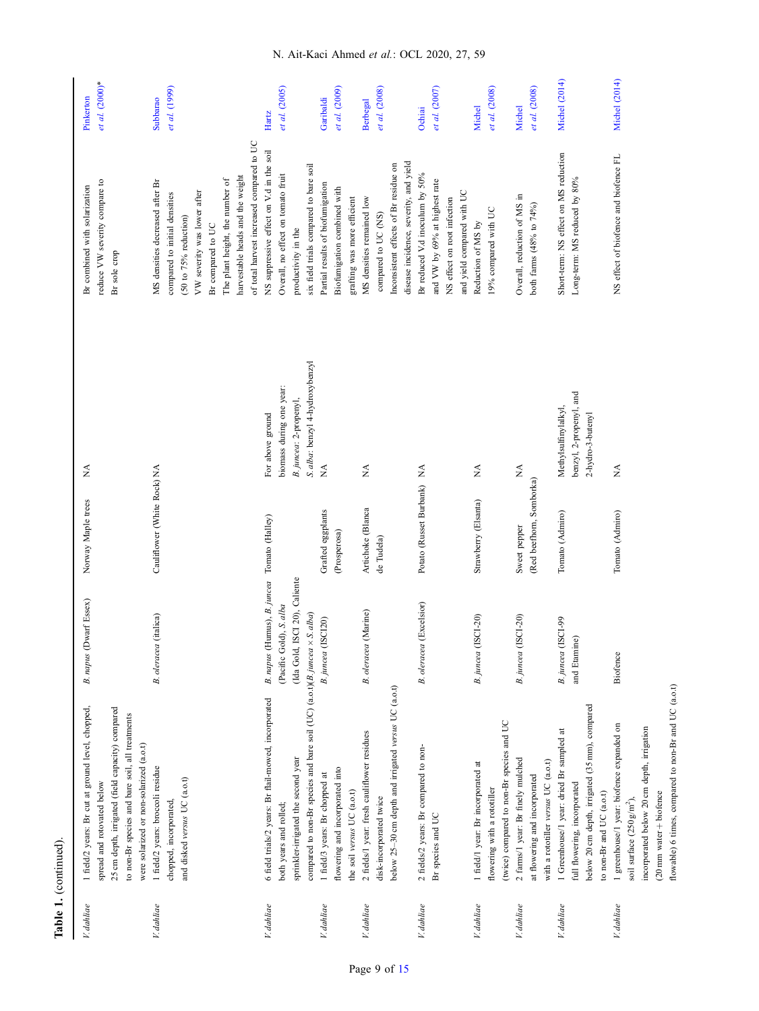| V. dahliae | 1 field/2 years: Br cut at ground level, chopped,                                          | B. napus (Dwarf Essex)                      | Norway Maple trees          | Ź                                               | Br combined with solarization             | Pinkerton            |
|------------|--------------------------------------------------------------------------------------------|---------------------------------------------|-----------------------------|-------------------------------------------------|-------------------------------------------|----------------------|
|            | spread and rotovated below                                                                 |                                             |                             |                                                 | reduce VW severity compare to             | et al. (2000)*       |
|            | 25 cm depth, irrigated (field capacity) compared                                           |                                             |                             |                                                 | Br sole crop                              |                      |
|            | to non-Br species and bare soil, all treatments<br>were solarized or non-solarized (a.o.t) |                                             |                             |                                                 |                                           |                      |
| V. dahliae | 1 field/2 years: broccoli residue                                                          | (italica)<br>B. oleracea                    | Cauliflower (White Rock) NA |                                                 | MS densities decreased after Br           | Subbarao             |
|            | chopped, incorporated,                                                                     |                                             |                             |                                                 | compared to initial densities             | et al. (1999)        |
|            | and disked versus UC (a.o.t)                                                               |                                             |                             |                                                 | $(50 to 75%$ reduction)                   |                      |
|            |                                                                                            |                                             |                             |                                                 | VW severity was lower after               |                      |
|            |                                                                                            |                                             |                             |                                                 | Br compared to UC                         |                      |
|            |                                                                                            |                                             |                             |                                                 | The plant height, the number of           |                      |
|            |                                                                                            |                                             |                             |                                                 | harvestable heads and the weight          |                      |
|            |                                                                                            |                                             |                             |                                                 | of total harvest increased compared to UC |                      |
| V. dahliae | 6 field trials/2 years: Br flail-mowed, incorporated                                       | B. napus (Humus), B. juncea Tomato (Halley) |                             | For above ground                                | NS suppressive effect on V.d in the soil  | Hartz                |
|            | both years and rolled;                                                                     | (Pacific Gold), S. alba                     |                             | biomass during one year:                        | Overall, no effect on tomato fruit        | et al. (2005)        |
|            | sprinkler-irrigated the second year                                                        | ISCI 20), Caliente<br>(Ida Gold,            |                             | B.juncea: 2-propenyl,                           | productivity in the                       |                      |
|            | compared to non-Br species and bare soil (UC) (a.o.t)(B. juncea $\times$ S. alba)          |                                             |                             | S. alba: benzyl 4-hydroxybenzyl                 | six field trials compared to bare soil    |                      |
| V. dahliae | 1 field/3 years: Br chopped at                                                             | (SCL20)<br>B. juncea <sup>[]</sup>          | Grafted eggplants           |                                                 | Partial results of biofumigation          | Garibaldi            |
|            | flowering and incorporated into                                                            |                                             | (Prosperosa)                |                                                 | Biofumigation combined with               | et al. (2009)        |
|            | the soil versus UC (a.o.t)                                                                 |                                             |                             |                                                 | grafting was more efficient               |                      |
| V. dahliae | 2 fields/1 year: fresh cauliflower residues                                                | (Marine)<br><b>B</b> . oleracea             | Artichoke (Blanca           | Ź                                               | MS densities remained low                 | <b>Berbegal</b>      |
|            | disk-incorporated twice                                                                    |                                             | de Tudela)                  |                                                 | compared to UC (NS)                       | et al. (2008)        |
|            | below 25-30 cm depth and irrigated versus UC (a.o.t)                                       |                                             |                             |                                                 | Inconsistent effects of Br residue on     |                      |
|            |                                                                                            |                                             |                             |                                                 | disease incidence, severity, and yield    |                      |
| V. dahliae | 2 fields/2 years: Br compared to non-                                                      | (Excelsior)<br><b>B.</b> oleracea           | Potato (Russet Burbank) NA  |                                                 | Br reduced V.d inoculum by 50%            | Ochiai               |
|            | Br species and UC                                                                          |                                             |                             |                                                 | and VW by 69% at highest rate             | et al. (2007)        |
|            |                                                                                            |                                             |                             |                                                 | NS effect on root infection               |                      |
|            |                                                                                            |                                             |                             |                                                 | and yield compared with UC                |                      |
| V. dahliae | 1 field/1 year: Br incorporated at                                                         | ISCI-20)<br>B. juncea (1                    | Strawberry (Elsanta)        | Ź                                               | Reduction of MS by                        | <b>Michel</b>        |
|            | flowering with a rototiller                                                                |                                             |                             |                                                 | 19% compared with UC                      | et al. (2008)        |
|            | (twice) compared to non-Br species and UC                                                  |                                             |                             |                                                 |                                           |                      |
| V. dahliae | 2 farms/1 year: Br finely mulched                                                          | B.juncea (ISCI-20)                          | Sweet pepper                | $\mathop{\leq}\limits_{{\mathop{\rm {\bf Z}}}}$ | Overall, reduction of MS in               | Michel               |
|            | at flowering and incorporated                                                              |                                             | (Red beefhorn, Somborka)    |                                                 | both farms (48% to 74%)                   | et al. (2008)        |
|            | with a rototiller versus UC (a.o.t)                                                        |                                             |                             |                                                 |                                           |                      |
| V. dahliae | 1 Greenhouse/1 year: dried Br sampled at                                                   | B.juncea (ISCI-99                           | Tomato (Admiro)             | Methylsulfinylalkyl,                            | Short-term: NS effect on MS reduction     | Michel (2014)        |
|            | full flowering, incorporated                                                               | and Etamine)                                |                             | benzyl, 2-propenyl, and                         | Long-term: MS reduced by 80%              |                      |
|            | below 20 cm depth, irrigated (35 mm), compared                                             |                                             |                             | 2-hydro-3-butenyl                               |                                           |                      |
|            | to non-Br and UC (a.o.t)                                                                   |                                             |                             |                                                 |                                           |                      |
| V. dahliae | 1 greenhouse/1 year: biofence expanded on                                                  | Biofence                                    | Tomato (Admiro)             | Ź                                               | NS effect of biofence and biofence FL     | <b>Michel</b> (2014) |
|            | soil surface $(250 \text{ g/m}^2)$                                                         |                                             |                             |                                                 |                                           |                      |
|            | incorporated below 20 cm depth, irrigation                                                 |                                             |                             |                                                 |                                           |                      |
|            | $(20$ mm water + biofence                                                                  |                                             |                             |                                                 |                                           |                      |
|            | flowable) 6 times, compared to non-Br and UC $(a.o.t)$                                     |                                             |                             |                                                 |                                           |                      |

Table 1. (continued).

Table 1. (continued).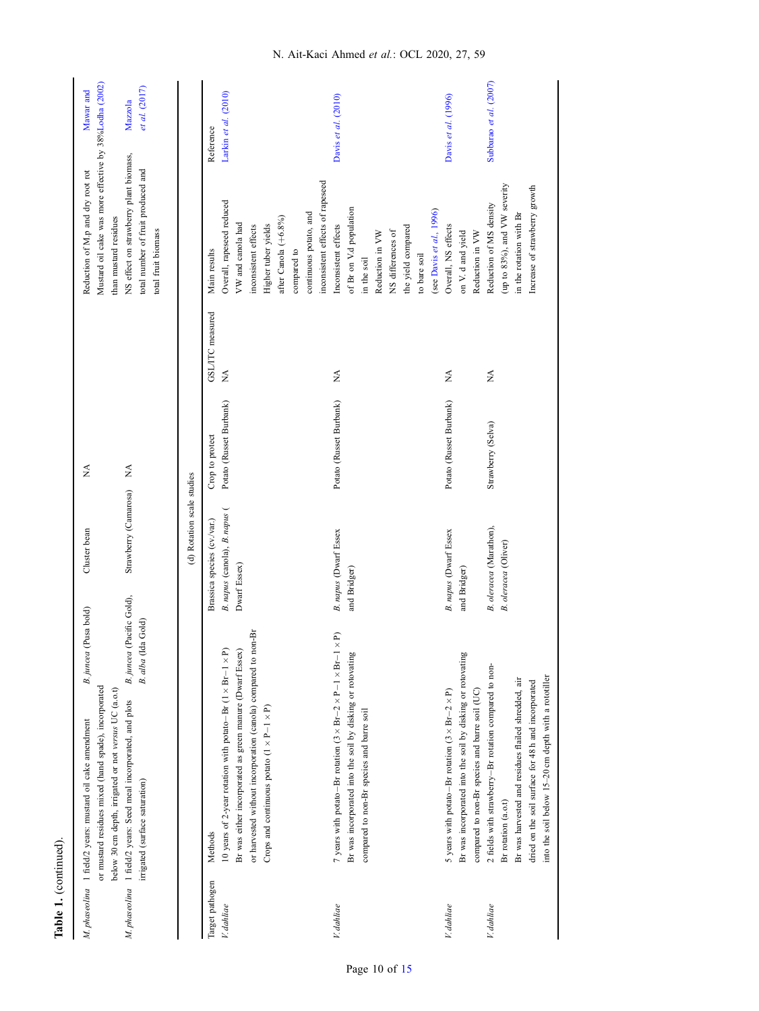|                 | M. phaseolina 1 field/2 years: mustard oil cake amendment                             | B.juncea (Pusa bold)      | Cluster bean                  | Ź                              |                  | Reduction of M.p and dry root rot                      | Mawar and              |
|-----------------|---------------------------------------------------------------------------------------|---------------------------|-------------------------------|--------------------------------|------------------|--------------------------------------------------------|------------------------|
|                 | or mustard residues mixed (hand spade), incorporated                                  |                           |                               |                                |                  | Mustard oil cake was more effective by 38%Lodha (2002) |                        |
|                 | below 30 cm depth, irrigated or not versus UC (a.o.t)                                 |                           |                               |                                |                  | than mustard residues                                  |                        |
|                 | M. phaseolina 1 field/2 years: Seed meal incorporated, and plots                      | B. juncea (Pacific Gold), | Strawberry (Camarosa)         | $\stackrel{\triangle}{\simeq}$ |                  | NS effect on strawberry plant biomass,                 | Mazzola                |
|                 | irrigated (surface saturation)                                                        | a Gold)<br>B. alba (Ida   |                               |                                |                  | total number of fruit produced and                     | et al. (2017)          |
|                 |                                                                                       |                           |                               |                                |                  | total fruit biomass                                    |                        |
|                 |                                                                                       |                           | (d) Rotation scale studies    |                                |                  |                                                        |                        |
| Target pathogen | Methods                                                                               |                           | Brassica species (cv./var.)   | Crop to protect                | GSL/ITC measured | Main results                                           | Reference              |
| V. dahliae      | 10 years of 2-year rotation with potato-Br $(1 \times Br - 1 \times P)$               |                           | B. napus (canola), B. napus ( | Potato (Russet Burbank)        | ₹                | Overall, rapeseed reduced                              | Larkin et al. (2010)   |
|                 | Br was either incorporated as green manure (Dwarf Essex)                              |                           | Dwarf Essex)                  |                                |                  | VW and canola had                                      |                        |
|                 | or harvested without incorporation (canola) compared to non-Br                        |                           |                               |                                |                  | inconsistent effects                                   |                        |
|                 | Crops and continuous potato $(1 \times P - 1 \times P)$                               |                           |                               |                                |                  | Higher tuber yields                                    |                        |
|                 |                                                                                       |                           |                               |                                |                  | after Canola $(+6.8\%)$                                |                        |
|                 |                                                                                       |                           |                               |                                |                  | compared to                                            |                        |
|                 |                                                                                       |                           |                               |                                |                  | continuous potato, and                                 |                        |
|                 |                                                                                       |                           |                               |                                |                  | inconsistent effects of rapeseed                       |                        |
| V. dahliae      | 7 years with potato-Br rotation $(3 \times Br - 2 \times Pr - 1 \times Br - 1 \times$ | $\widehat{\mathbf{p}}$    | B. napus (Dwarf Essex         | Potato (Russet Burbank)        | $\lessapprox$    | Inconsistent effects                                   | Davis et al. (2010)    |
|                 | Br was incorporated into the soil by disking or rotovating                            |                           | and Bridger)                  |                                |                  | of Br on V.d population                                |                        |
|                 | compared to non-Br species and barre soil                                             |                           |                               |                                |                  | in the soil                                            |                        |
|                 |                                                                                       |                           |                               |                                |                  | Reduction in VW                                        |                        |
|                 |                                                                                       |                           |                               |                                |                  | NS differences of                                      |                        |
|                 |                                                                                       |                           |                               |                                |                  | the yield compared                                     |                        |
|                 |                                                                                       |                           |                               |                                |                  | to bare soil                                           |                        |
|                 |                                                                                       |                           |                               |                                |                  | (see Davis et al., 1996)                               |                        |
| V. dahliae      | 5 years with potato-Br rotation $(3 \times Br - 2 \times P)$                          |                           | B. napus (Dwarf Essex         | Potato (Russet Burbank)        | ₹                | Overall, NS effects                                    | Davis et al. (1996)    |
|                 | Br was incorporated into the soil by disking or rotovating                            |                           | and Bridger)                  |                                |                  | on V. d and yield                                      |                        |
|                 | compared to non-Br species and barre soil (UC)                                        |                           |                               |                                |                  | Reduction in VW                                        |                        |
| V. dahliae      | 2 fields with strawberry-Br rotation compared to non-                                 |                           | B. oleracea (Marathon),       | Strawberry (Selva)             | $\lessapprox$    | Reduction of MS density                                | Subbarao et al. (2007) |
|                 | Br rotation (a.o.t)                                                                   |                           | B. oleracea (Oliver)          |                                |                  | (up to 83%), and VW severity                           |                        |
|                 | Br was harvested and residues flailed shredded, air                                   |                           |                               |                                |                  | in the rotation with Br                                |                        |
|                 | dried on the soil surface for 48 h and incorporated                                   |                           |                               |                                |                  | Increase of strawberry growth                          |                        |
|                 | into the soil below 15-20 cm depth with a rototiller                                  |                           |                               |                                |                  |                                                        |                        |

Table 1. (continued).

Table 1. (continued).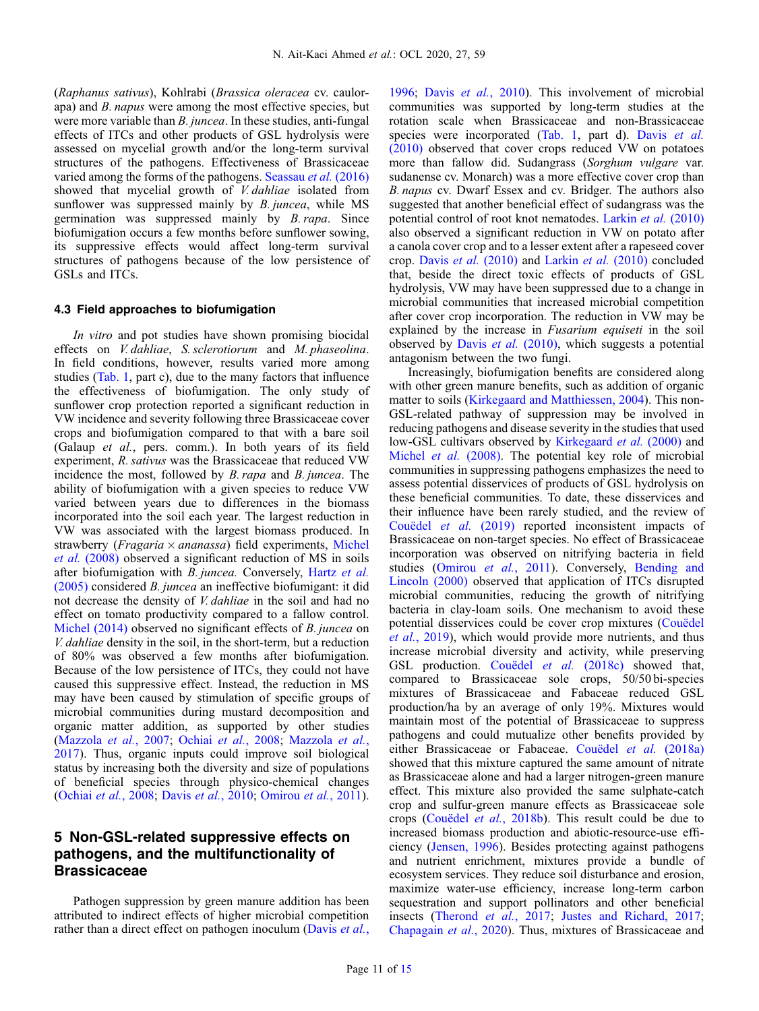(Raphanus sativus), Kohlrabi (Brassica oleracea cv. caulorapa) and B. napus were among the most effective species, but were more variable than *B. juncea*. In these studies, anti-fungal effects of ITCs and other products of GSL hydrolysis were assessed on mycelial growth and/or the long-term survival structures of the pathogens. Effectiveness of Brassicaceae varied among the forms of the pathogens. [Seassau](#page-14-0) et al. (2016) showed that mycelial growth of *V. dahliae* isolated from sunflower was suppressed mainly by *B. juncea*, while MS germination was suppressed mainly by B. rapa. Since biofumigation occurs a few months before sunflower sowing, its suppressive effects would affect long-term survival structures of pathogens because of the low persistence of GSLs and ITCs.

#### 4.3 Field approaches to biofumigation

In vitro and pot studies have shown promising biocidal effects on V. dahliae, S. sclerotiorum and M. phaseolina. In field conditions, however, results varied more among studies [\(Tab. 1](#page-6-0), part c), due to the many factors that influence the effectiveness of biofumigation. The only study of sunflower crop protection reported a significant reduction in VW incidence and severity following three Brassicaceae cover crops and biofumigation compared to that with a bare soil (Galaup et al., pers. comm.). In both years of its field experiment, R. sativus was the Brassicaceae that reduced VW incidence the most, followed by B. rapa and B. juncea. The ability of biofumigation with a given species to reduce VW varied between years due to differences in the biomass incorporated into the soil each year. The largest reduction in VW was associated with the largest biomass produced. In strawberry (*Fragaria*  $\times$  *ananassa*) field experiments, [Michel](#page-13-0) et al. [\(2008\)](#page-13-0) observed a significant reduction of MS in soils after biofumigation with B. juncea. Conversely, [Hartz](#page-12-0) et al. [\(2005\)](#page-12-0) considered B. juncea an ineffective biofumigant: it did not decrease the density of V. dahliae in the soil and had no effect on tomato productivity compared to a fallow control. [Michel \(2014\)](#page-13-0) observed no significant effects of *B. juncea* on V. dahliae density in the soil, in the short-term, but a reduction of 80% was observed a few months after biofumigation. Because of the low persistence of ITCs, they could not have caused this suppressive effect. Instead, the reduction in MS may have been caused by stimulation of specific groups of microbial communities during mustard decomposition and organic matter addition, as supported by other studies ([Mazzola](#page-13-0) et al., 2007; Ochiai et al.[, 2008;](#page-14-0) [Mazzola](#page-13-0) et al., [2017](#page-13-0)). Thus, organic inputs could improve soil biological status by increasing both the diversity and size of populations of beneficial species through physico-chemical changes ([Ochiai](#page-14-0) et al., 2008; Davis et al.[, 2010;](#page-12-0) [Omirou](#page-14-0) et al., 2011).

# 5 Non-GSL-related suppressive effects on pathogens, and the multifunctionality of **Brassicaceae**

Pathogen suppression by green manure addition has been attributed to indirect effects of higher microbial competition rather than a direct effect on pathogen inoculum [\(Davis](#page-12-0) et al., [1996](#page-12-0); Davis et al.[, 2010](#page-12-0)). This involvement of microbial communities was supported by long-term studies at the rotation scale when Brassicaceae and non-Brassicaceae species were incorporated [\(Tab. 1](#page-6-0), part d). Davis [et al.](#page-12-0) [\(2010\)](#page-12-0) observed that cover crops reduced VW on potatoes more than fallow did. Sudangrass (Sorghum vulgare var. sudanense cv. Monarch) was a more effective cover crop than B. napus cv. Dwarf Essex and cv. Bridger. The authors also suggested that another beneficial effect of sudangrass was the potential control of root knot nematodes. Larkin et al. [\(2010\)](#page-13-0) also observed a significant reduction in VW on potato after a canola cover crop and to a lesser extent after a rapeseed cover crop. Davis et al. [\(2010\)](#page-12-0) and [Larkin](#page-13-0) et al. (2010) concluded that, beside the direct toxic effects of products of GSL hydrolysis, VW may have been suppressed due to a change in microbial communities that increased microbial competition after cover crop incorporation. The reduction in VW may be explained by the increase in Fusarium equiseti in the soil observed by Davis et al. [\(2010\),](#page-12-0) which suggests a potential antagonism between the two fungi.

Increasingly, biofumigation benefits are considered along with other green manure benefits, such as addition of organic matter to soils [\(Kirkegaard and Matthiessen, 2004\)](#page-13-0). This non-GSL-related pathway of suppression may be involved in reducing pathogens and disease severity in the studies that used low-GSL cultivars observed by [Kirkegaard](#page-13-0) et al. (2000) and [Michel](#page-13-0) et al. (2008). The potential key role of microbial communities in suppressing pathogens emphasizes the need to assess potential disservices of products of GSL hydrolysis on these beneficial communities. To date, these disservices and their influence have been rarely studied, and the review of [Couëdel](#page-12-0) et al. (2019) reported inconsistent impacts of Brassicaceae on non-target species. No effect of Brassicaceae incorporation was observed on nitrifying bacteria in field studies ([Omirou](#page-14-0) et al., 2011). Conversely, [Bending and](#page-11-0) [Lincoln \(2000\)](#page-11-0) observed that application of ITCs disrupted microbial communities, reducing the growth of nitrifying bacteria in clay-loam soils. One mechanism to avoid these potential disservices could be cover crop mixtures ([Couëdel](#page-12-0) et al.[, 2019\)](#page-12-0), which would provide more nutrients, and thus increase microbial diversity and activity, while preserving GSL production. [Couëdel](#page-12-0) et al. (2018c) showed that, compared to Brassicaceae sole crops, 50/50 bi-species mixtures of Brassicaceae and Fabaceae reduced GSL production/ha by an average of only 19%. Mixtures would maintain most of the potential of Brassicaceae to suppress pathogens and could mutualize other benefits provided by either Brassicaceae or Fabaceae. [Couëdel](#page-12-0) et al. (2018a) showed that this mixture captured the same amount of nitrate as Brassicaceae alone and had a larger nitrogen-green manure effect. This mixture also provided the same sulphate-catch crop and sulfur-green manure effects as Brassicaceae sole crops ([Couëdel](#page-12-0) et al., 2018b). This result could be due to increased biomass production and abiotic-resource-use efficiency ([Jensen, 1996](#page-12-0)). Besides protecting against pathogens and nutrient enrichment, mixtures provide a bundle of ecosystem services. They reduce soil disturbance and erosion, maximize water-use efficiency, increase long-term carbon sequestration and support pollinators and other beneficial insects ([Therond](#page-14-0) et al., 2017; [Justes and Richard, 2017;](#page-12-0) [Chapagain](#page-12-0) et al., 2020). Thus, mixtures of Brassicaceae and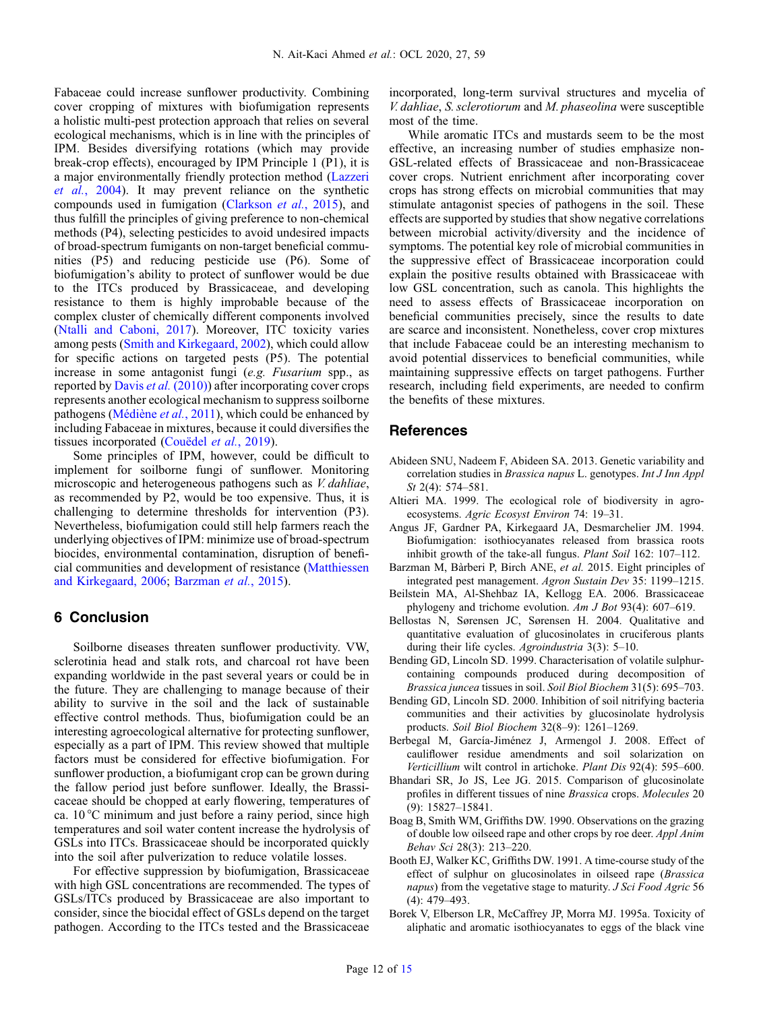<span id="page-11-0"></span>Fabaceae could increase sunflower productivity. Combining cover cropping of mixtures with biofumigation represents a holistic multi-pest protection approach that relies on several ecological mechanisms, which is in line with the principles of IPM. Besides diversifying rotations (which may provide break-crop effects), encouraged by IPM Principle 1 (P1), it is a major environmentally friendly protection method ([Lazzeri](#page-13-0) et al.[, 2004](#page-13-0)). It may prevent reliance on the synthetic compounds used in fumigation ([Clarkson](#page-12-0) et al., 2015), and thus fulfill the principles of giving preference to non-chemical methods (P4), selecting pesticides to avoid undesired impacts of broad-spectrum fumigants on non-target beneficial communities (P5) and reducing pesticide use (P6). Some of biofumigation's ability to protect of sunflower would be due to the ITCs produced by Brassicaceae, and developing resistance to them is highly improbable because of the complex cluster of chemically different components involved ([Ntalli and Caboni, 2017](#page-14-0)). Moreover, ITC toxicity varies among pests [\(Smith and Kirkegaard, 2002\)](#page-14-0), which could allow for specific actions on targeted pests (P5). The potential increase in some antagonist fungi (e.g. Fusarium spp., as reported by Davis et al. [\(2010\)\)](#page-12-0) after incorporating cover crops represents another ecological mechanism to suppress soilborne pathogens [\(Médiène](#page-13-0) et al., 2011), which could be enhanced by including Fabaceae in mixtures, because it could diversifies the tissues incorporated [\(Couëdel](#page-12-0) et al., 2019).

Some principles of IPM, however, could be difficult to implement for soilborne fungi of sunflower. Monitoring microscopic and heterogeneous pathogens such as V. dahliae, as recommended by P2, would be too expensive. Thus, it is challenging to determine thresholds for intervention (P3). Nevertheless, biofumigation could still help farmers reach the underlying objectives of IPM: minimize use of broad-spectrum biocides, environmental contamination, disruption of beneficial communities and development of resistance ([Matthiessen](#page-13-0) [and Kirkegaard, 2006;](#page-13-0) Barzman et al., 2015).

### 6 Conclusion

Soilborne diseases threaten sunflower productivity. VW, sclerotinia head and stalk rots, and charcoal rot have been expanding worldwide in the past several years or could be in the future. They are challenging to manage because of their ability to survive in the soil and the lack of sustainable effective control methods. Thus, biofumigation could be an interesting agroecological alternative for protecting sunflower, especially as a part of IPM. This review showed that multiple factors must be considered for effective biofumigation. For sunflower production, a biofumigant crop can be grown during the fallow period just before sunflower. Ideally, the Brassicaceae should be chopped at early flowering, temperatures of ca. 10 °C minimum and just before a rainy period, since high temperatures and soil water content increase the hydrolysis of GSLs into ITCs. Brassicaceae should be incorporated quickly into the soil after pulverization to reduce volatile losses.

For effective suppression by biofumigation, Brassicaceae with high GSL concentrations are recommended. The types of GSLs/ITCs produced by Brassicaceae are also important to consider, since the biocidal effect of GSLs depend on the target pathogen. According to the ITCs tested and the Brassicaceae incorporated, long-term survival structures and mycelia of V. dahliae, S. sclerotiorum and M. phaseolina were susceptible most of the time.

While aromatic ITCs and mustards seem to be the most effective, an increasing number of studies emphasize non-GSL-related effects of Brassicaceae and non-Brassicaceae cover crops. Nutrient enrichment after incorporating cover crops has strong effects on microbial communities that may stimulate antagonist species of pathogens in the soil. These effects are supported by studies that show negative correlations between microbial activity/diversity and the incidence of symptoms. The potential key role of microbial communities in the suppressive effect of Brassicaceae incorporation could explain the positive results obtained with Brassicaceae with low GSL concentration, such as canola. This highlights the need to assess effects of Brassicaceae incorporation on beneficial communities precisely, since the results to date are scarce and inconsistent. Nonetheless, cover crop mixtures that include Fabaceae could be an interesting mechanism to avoid potential disservices to beneficial communities, while maintaining suppressive effects on target pathogens. Further research, including field experiments, are needed to confirm the benefits of these mixtures.

# References

- Abideen SNU, Nadeem F, Abideen SA. 2013. Genetic variability and correlation studies in Brassica napus L. genotypes. Int J Inn Appl St 2(4): 574–581.
- Altieri MA. 1999. The ecological role of biodiversity in agroecosystems. Agric Ecosyst Environ 74: 19–31.
- Angus JF, Gardner PA, Kirkegaard JA, Desmarchelier JM. 1994. Biofumigation: isothiocyanates released from brassica roots inhibit growth of the take-all fungus. Plant Soil 162: 107–112.
- Barzman M, Bàrberi P, Birch ANE, et al. 2015. Eight principles of integrated pest management. Agron Sustain Dev 35: 1199–1215.
- Beilstein MA, Al-Shehbaz IA, Kellogg EA. 2006. Brassicaceae phylogeny and trichome evolution. Am J Bot 93(4): 607–619.
- Bellostas N, Sørensen JC, Sørensen H. 2004. Qualitative and quantitative evaluation of glucosinolates in cruciferous plants during their life cycles. Agroindustria 3(3): 5–10.
- Bending GD, Lincoln SD. 1999. Characterisation of volatile sulphurcontaining compounds produced during decomposition of Brassica juncea tissues in soil. Soil Biol Biochem 31(5): 695–703.
- Bending GD, Lincoln SD. 2000. Inhibition of soil nitrifying bacteria communities and their activities by glucosinolate hydrolysis products. Soil Biol Biochem 32(8–9): 1261–1269.
- Berbegal M, García-Jiménez J, Armengol J. 2008. Effect of cauliflower residue amendments and soil solarization on Verticillium wilt control in artichoke. Plant Dis 92(4): 595–600.
- Bhandari SR, Jo JS, Lee JG. 2015. Comparison of glucosinolate profiles in different tissues of nine Brassica crops. Molecules 20 (9): 15827–15841.
- Boag B, Smith WM, Griffiths DW. 1990. Observations on the grazing of double low oilseed rape and other crops by roe deer. Appl Anim Behav Sci 28(3): 213–220.
- Booth EJ, Walker KC, Griffiths DW. 1991. A time-course study of the effect of sulphur on glucosinolates in oilseed rape (Brassica napus) from the vegetative stage to maturity. J Sci Food Agric 56 (4): 479–493.
- Borek V, Elberson LR, McCaffrey JP, Morra MJ. 1995a. Toxicity of aliphatic and aromatic isothiocyanates to eggs of the black vine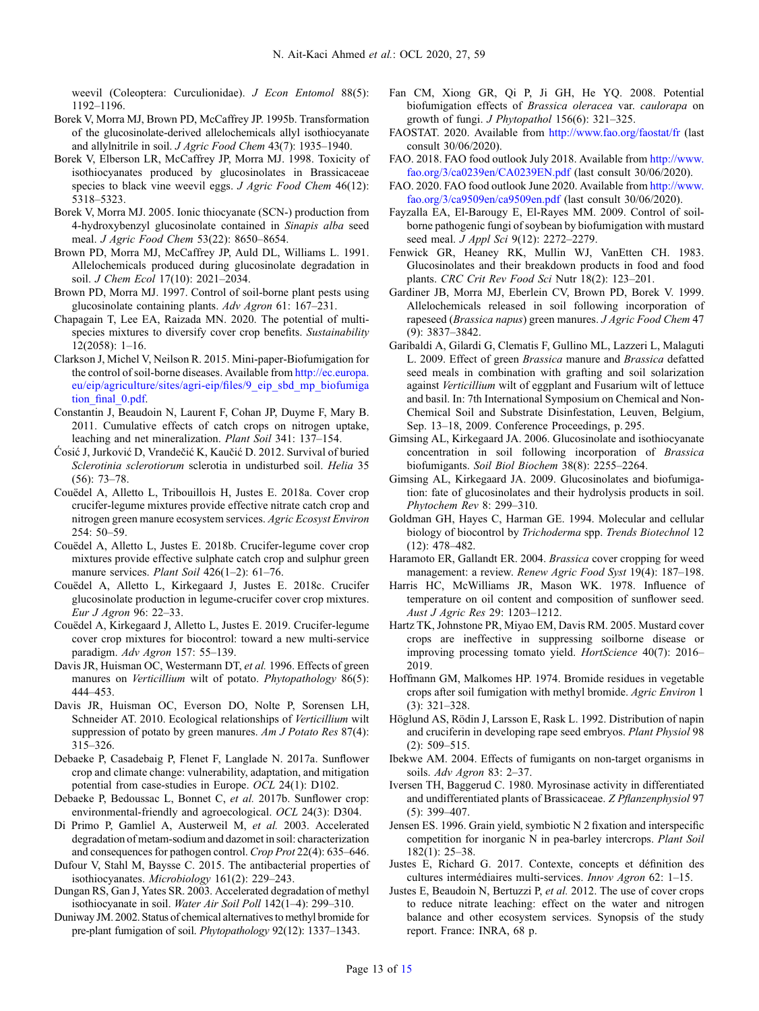<span id="page-12-0"></span>weevil (Coleoptera: Curculionidae). J Econ Entomol 88(5): 1192–1196.

- Borek V, Morra MJ, Brown PD, McCaffrey JP. 1995b. Transformation of the glucosinolate-derived allelochemicals allyl isothiocyanate and allylnitrile in soil. J Agric Food Chem 43(7): 1935–1940.
- Borek V, Elberson LR, McCaffrey JP, Morra MJ. 1998. Toxicity of isothiocyanates produced by glucosinolates in Brassicaceae species to black vine weevil eggs. J Agric Food Chem 46(12): 5318–5323.
- Borek V, Morra MJ. 2005. Ionic thiocyanate (SCN-) production from 4-hydroxybenzyl glucosinolate contained in Sinapis alba seed meal. J Agric Food Chem 53(22): 8650–8654.
- Brown PD, Morra MJ, McCaffrey JP, Auld DL, Williams L. 1991. Allelochemicals produced during glucosinolate degradation in soil. J Chem Ecol 17(10): 2021–2034.
- Brown PD, Morra MJ. 1997. Control of soil-borne plant pests using glucosinolate containing plants. Adv Agron 61: 167–231.
- Chapagain T, Lee EA, Raizada MN. 2020. The potential of multispecies mixtures to diversify cover crop benefits. Sustainability 12(2058): 1–16.
- Clarkson J, Michel V, Neilson R. 2015. Mini-paper-Biofumigation for the control of soil-borne diseases. Available from [http://ec.europa.](http://ec.europa.eu/eip/agriculture/sites/agri-eip/files/9_eip_sbd_mp_biofumigation_final_0.pdf) [eu/eip/agriculture/sites/agri-eip/](http://ec.europa.eu/eip/agriculture/sites/agri-eip/files/9_eip_sbd_mp_biofumigation_final_0.pdf)files/9\_eip\_sbd\_mp\_biofumiga tion final 0.pdf.
- Constantin J, Beaudoin N, Laurent F, Cohan JP, Duyme F, Mary B. 2011. Cumulative effects of catch crops on nitrogen uptake, leaching and net mineralization. Plant Soil 341: 137–154.
- Ćosić J, Jurković D, Vrandečić K, Kaučić D. 2012. Survival of buried Sclerotinia sclerotiorum sclerotia in undisturbed soil. Helia 35 (56): 73–78.
- Couëdel A, Alletto L, Tribouillois H, Justes E. 2018a. Cover crop crucifer-legume mixtures provide effective nitrate catch crop and nitrogen green manure ecosystem services. Agric Ecosyst Environ 254: 50–59.
- Couëdel A, Alletto L, Justes E. 2018b. Crucifer-legume cover crop mixtures provide effective sulphate catch crop and sulphur green manure services. Plant Soil 426(1-2): 61-76.
- Couëdel A, Alletto L, Kirkegaard J, Justes E. 2018c. Crucifer glucosinolate production in legume-crucifer cover crop mixtures. Eur J Agron 96: 22–33.
- Couëdel A, Kirkegaard J, Alletto L, Justes E. 2019. Crucifer-legume cover crop mixtures for biocontrol: toward a new multi-service paradigm. Adv Agron 157: 55–139.
- Davis JR, Huisman OC, Westermann DT, et al. 1996. Effects of green manures on Verticillium wilt of potato. Phytopathology 86(5): 444–453.
- Davis JR, Huisman OC, Everson DO, Nolte P, Sorensen LH, Schneider AT. 2010. Ecological relationships of Verticillium wilt suppression of potato by green manures. Am J Potato Res 87(4): 315–326.
- Debaeke P, Casadebaig P, Flenet F, Langlade N. 2017a. Sunflower crop and climate change: vulnerability, adaptation, and mitigation potential from case-studies in Europe. OCL 24(1): D102.
- Debaeke P, Bedoussac L, Bonnet C, et al. 2017b. Sunflower crop: environmental-friendly and agroecological. OCL 24(3): D304.
- Di Primo P, Gamliel A, Austerweil M, et al. 2003. Accelerated degradation of metam-sodium and dazomet in soil: characterization and consequences for pathogen control. Crop Prot 22(4): 635–646.
- Dufour V, Stahl M, Baysse C. 2015. The antibacterial properties of isothiocyanates. Microbiology 161(2): 229–243.
- Dungan RS, Gan J, Yates SR. 2003. Accelerated degradation of methyl isothiocyanate in soil. Water Air Soil Poll 142(1–4): 299–310.
- Duniway JM. 2002. Status of chemical alternatives to methyl bromide for pre-plant fumigation of soil. Phytopathology 92(12): 1337–1343.
- Fan CM, Xiong GR, Qi P, Ji GH, He YQ. 2008. Potential biofumigation effects of Brassica oleracea var. caulorapa on growth of fungi. J Phytopathol 156(6): 321–325.
- FAOSTAT. 2020. Available from <http://www.fao.org/faostat/fr> (last consult 30/06/2020).
- FAO. 2018. FAO food outlook July 2018. Available from [http://www.](http://www.fao.org/3/ca0239en/CA0239EN.pdf) [fao.org/3/ca0239en/CA0239EN.pdf](http://www.fao.org/3/ca0239en/CA0239EN.pdf) (last consult 30/06/2020).
- FAO. 2020. FAO food outlook June 2020. Available from [http://www.](http://www.fao.org/3/ca9509en/ca9509en.pdf) [fao.org/3/ca9509en/ca9509en.pdf](http://www.fao.org/3/ca9509en/ca9509en.pdf) (last consult 30/06/2020).
- Fayzalla EA, El-Barougy E, El-Rayes MM. 2009. Control of soilborne pathogenic fungi of soybean by biofumigation with mustard seed meal. *J Appl Sci* 9(12): 2272–2279.
- Fenwick GR, Heaney RK, Mullin WJ, VanEtten CH. 1983. Glucosinolates and their breakdown products in food and food plants. CRC Crit Rev Food Sci Nutr 18(2): 123–201.
- Gardiner JB, Morra MJ, Eberlein CV, Brown PD, Borek V. 1999. Allelochemicals released in soil following incorporation of rapeseed (Brassica napus) green manures. J Agric Food Chem 47 (9): 3837–3842.
- Garibaldi A, Gilardi G, Clematis F, Gullino ML, Lazzeri L, Malaguti L. 2009. Effect of green Brassica manure and Brassica defatted seed meals in combination with grafting and soil solarization against Verticillium wilt of eggplant and Fusarium wilt of lettuce and basil. In: 7th International Symposium on Chemical and Non-Chemical Soil and Substrate Disinfestation, Leuven, Belgium, Sep. 13–18, 2009. Conference Proceedings, p. 295.
- Gimsing AL, Kirkegaard JA. 2006. Glucosinolate and isothiocyanate concentration in soil following incorporation of Brassica biofumigants. Soil Biol Biochem 38(8): 2255–2264.
- Gimsing AL, Kirkegaard JA. 2009. Glucosinolates and biofumigation: fate of glucosinolates and their hydrolysis products in soil. Phytochem Rev 8: 299–310.
- Goldman GH, Hayes C, Harman GE. 1994. Molecular and cellular biology of biocontrol by Trichoderma spp. Trends Biotechnol 12 (12): 478–482.
- Haramoto ER, Gallandt ER. 2004. Brassica cover cropping for weed management: a review. Renew Agric Food Syst 19(4): 187–198.
- Harris HC, McWilliams JR, Mason WK. 1978. Influence of temperature on oil content and composition of sunflower seed. Aust J Agric Res 29: 1203–1212.
- Hartz TK, Johnstone PR, Miyao EM, Davis RM. 2005. Mustard cover crops are ineffective in suppressing soilborne disease or improving processing tomato yield. HortScience 40(7): 2016– 2019.
- Hoffmann GM, Malkomes HP. 1974. Bromide residues in vegetable crops after soil fumigation with methyl bromide. Agric Environ 1 (3): 321–328.
- Höglund AS, Rödin J, Larsson E, Rask L. 1992. Distribution of napin and cruciferin in developing rape seed embryos. Plant Physiol 98 (2): 509–515.
- Ibekwe AM. 2004. Effects of fumigants on non-target organisms in soils. Adv Agron 83: 2–37.
- Iversen TH, Baggerud C. 1980. Myrosinase activity in differentiated and undifferentiated plants of Brassicaceae. Z Pflanzenphysiol 97 (5): 399–407.
- Jensen ES. 1996. Grain yield, symbiotic N 2 fixation and interspecific competition for inorganic N in pea-barley intercrops. Plant Soil 182(1): 25–38.
- Justes E, Richard G. 2017. Contexte, concepts et définition des cultures intermédiaires multi-services. Innov Agron 62: 1–15.
- Justes E, Beaudoin N, Bertuzzi P, et al. 2012. The use of cover crops to reduce nitrate leaching: effect on the water and nitrogen balance and other ecosystem services. Synopsis of the study report. France: INRA, 68 p.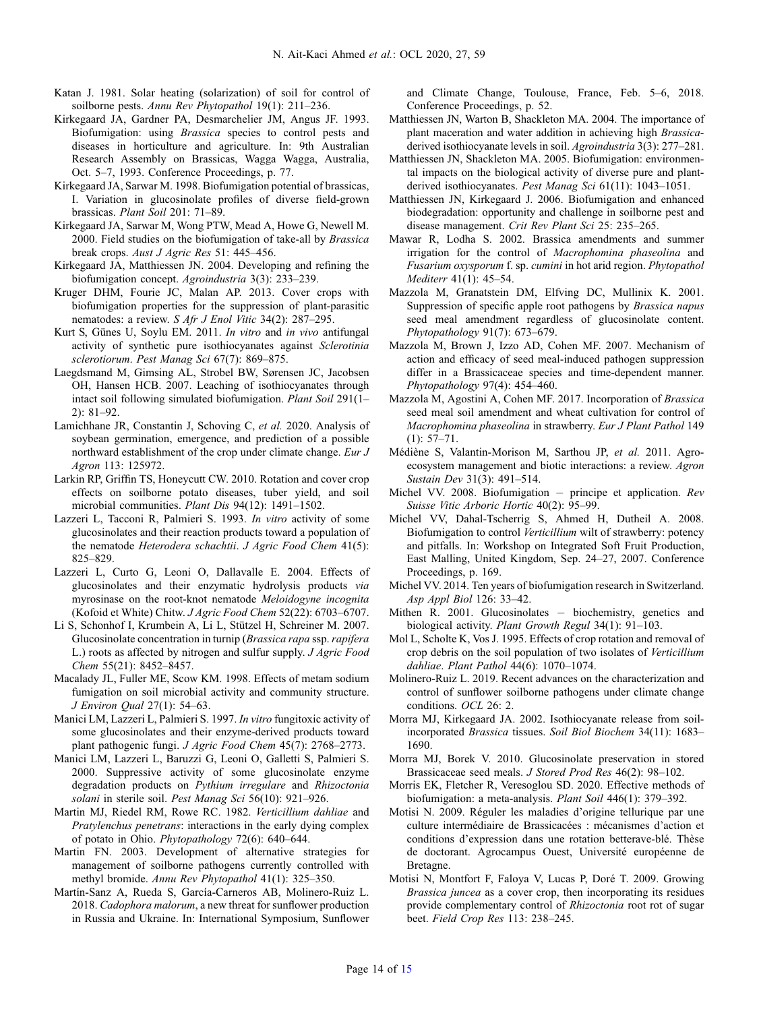- <span id="page-13-0"></span>Katan J. 1981. Solar heating (solarization) of soil for control of soilborne pests. Annu Rev Phytopathol 19(1): 211–236.
- Kirkegaard JA, Gardner PA, Desmarchelier JM, Angus JF. 1993. Biofumigation: using Brassica species to control pests and diseases in horticulture and agriculture. In: 9th Australian Research Assembly on Brassicas, Wagga Wagga, Australia, Oct. 5–7, 1993. Conference Proceedings, p. 77.
- Kirkegaard JA, Sarwar M. 1998. Biofumigation potential of brassicas, I. Variation in glucosinolate profiles of diverse field-grown brassicas. Plant Soil 201: 71–89.
- Kirkegaard JA, Sarwar M, Wong PTW, Mead A, Howe G, Newell M. 2000. Field studies on the biofumigation of take-all by *Brassica* break crops. Aust J Agric Res 51: 445–456.
- Kirkegaard JA, Matthiessen JN. 2004. Developing and refining the biofumigation concept. Agroindustria 3(3): 233–239.
- Kruger DHM, Fourie JC, Malan AP. 2013. Cover crops with biofumigation properties for the suppression of plant-parasitic nematodes: a review. S Afr J Enol Vitic 34(2): 287–295.
- Kurt S, Günes U, Soylu EM. 2011. In vitro and in vivo antifungal activity of synthetic pure isothiocyanates against Sclerotinia sclerotiorum. Pest Manag Sci 67(7): 869–875.
- Laegdsmand M, Gimsing AL, Strobel BW, Sørensen JC, Jacobsen OH, Hansen HCB. 2007. Leaching of isothiocyanates through intact soil following simulated biofumigation. Plant Soil 291(1– 2): 81–92.
- Lamichhane JR, Constantin J, Schoving C, et al. 2020. Analysis of soybean germination, emergence, and prediction of a possible northward establishment of the crop under climate change. Eur J Agron 113: 125972.
- Larkin RP, Griffin TS, Honeycutt CW. 2010. Rotation and cover crop effects on soilborne potato diseases, tuber yield, and soil microbial communities. Plant Dis 94(12): 1491–1502.
- Lazzeri L, Tacconi R, Palmieri S. 1993. In vitro activity of some glucosinolates and their reaction products toward a population of the nematode Heterodera schachtii. J Agric Food Chem 41(5): 825–829.
- Lazzeri L, Curto G, Leoni O, Dallavalle E. 2004. Effects of glucosinolates and their enzymatic hydrolysis products via myrosinase on the root-knot nematode Meloidogyne incognita (Kofoid et White) Chitw. J Agric Food Chem 52(22): 6703–6707.
- Li S, Schonhof I, Krumbein A, Li L, Stützel H, Schreiner M. 2007. Glucosinolate concentration in turnip (Brassica rapa ssp. rapifera L.) roots as affected by nitrogen and sulfur supply. J Agric Food Chem 55(21): 8452–8457.
- Macalady JL, Fuller ME, Scow KM. 1998. Effects of metam sodium fumigation on soil microbial activity and community structure. J Environ Qual 27(1): 54–63.
- Manici LM, Lazzeri L, Palmieri S. 1997. In vitro fungitoxic activity of some glucosinolates and their enzyme-derived products toward plant pathogenic fungi. J Agric Food Chem 45(7): 2768–2773.
- Manici LM, Lazzeri L, Baruzzi G, Leoni O, Galletti S, Palmieri S. 2000. Suppressive activity of some glucosinolate enzyme degradation products on Pythium irregulare and Rhizoctonia solani in sterile soil. Pest Manag Sci 56(10): 921–926.
- Martin MJ, Riedel RM, Rowe RC. 1982. Verticillium dahliae and Pratylenchus penetrans: interactions in the early dying complex of potato in Ohio. Phytopathology 72(6): 640–644.
- Martin FN. 2003. Development of alternative strategies for management of soilborne pathogens currently controlled with methyl bromide. Annu Rev Phytopathol 41(1): 325–350.
- Martín-Sanz A, Rueda S, García-Carneros AB, Molinero-Ruiz L. 2018. Cadophora malorum, a new threat for sunflower production in Russia and Ukraine. In: International Symposium, Sunflower

and Climate Change, Toulouse, France, Feb. 5–6, 2018. Conference Proceedings, p. 52.

- Matthiessen JN, Warton B, Shackleton MA. 2004. The importance of plant maceration and water addition in achieving high Brassicaderived isothiocyanate levels in soil. Agroindustria 3(3): 277–281.
- Matthiessen JN, Shackleton MA. 2005. Biofumigation: environmental impacts on the biological activity of diverse pure and plantderived isothiocyanates. Pest Manag Sci 61(11): 1043–1051.
- Matthiessen JN, Kirkegaard J. 2006. Biofumigation and enhanced biodegradation: opportunity and challenge in soilborne pest and disease management. Crit Rev Plant Sci 25: 235–265.
- Mawar R, Lodha S. 2002. Brassica amendments and summer irrigation for the control of Macrophomina phaseolina and Fusarium oxysporum f. sp. cumini in hot arid region. Phytopathol Mediterr 41(1): 45–54.
- Mazzola M, Granatstein DM, Elfving DC, Mullinix K. 2001. Suppression of specific apple root pathogens by Brassica napus seed meal amendment regardless of glucosinolate content. Phytopathology 91(7): 673–679.
- Mazzola M, Brown J, Izzo AD, Cohen MF. 2007. Mechanism of action and efficacy of seed meal-induced pathogen suppression differ in a Brassicaceae species and time-dependent manner. Phytopathology 97(4): 454–460.
- Mazzola M, Agostini A, Cohen MF. 2017. Incorporation of Brassica seed meal soil amendment and wheat cultivation for control of Macrophomina phaseolina in strawberry. Eur J Plant Pathol 149 (1): 57–71.
- Médiène S, Valantin-Morison M, Sarthou JP, et al. 2011. Agroecosystem management and biotic interactions: a review. Agron Sustain Dev 31(3): 491–514.
- Michel VV. 2008. Biofumigation principe et application. Rev Suisse Vitic Arboric Hortic 40(2): 95–99.
- Michel VV, Dahal-Tscherrig S, Ahmed H, Dutheil A. 2008. Biofumigation to control Verticillium wilt of strawberry: potency and pitfalls. In: Workshop on Integrated Soft Fruit Production, East Malling, United Kingdom, Sep. 24–27, 2007. Conference Proceedings, p. 169.
- Michel VV. 2014. Ten years of biofumigation research in Switzerland. Asp Appl Biol 126: 33–42.
- Mithen R. 2001. Glucosinolates biochemistry, genetics and biological activity. Plant Growth Regul 34(1): 91–103.
- Mol L, Scholte K, Vos J. 1995. Effects of crop rotation and removal of crop debris on the soil population of two isolates of Verticillium dahliae. Plant Pathol 44(6): 1070–1074.
- Molinero-Ruiz L. 2019. Recent advances on the characterization and control of sunflower soilborne pathogens under climate change conditions. OCL 26: 2.
- Morra MJ, Kirkegaard JA. 2002. Isothiocyanate release from soilincorporated Brassica tissues. Soil Biol Biochem 34(11): 1683– 1690.
- Morra MJ, Borek V. 2010. Glucosinolate preservation in stored Brassicaceae seed meals. J Stored Prod Res 46(2): 98–102.
- Morris EK, Fletcher R, Veresoglou SD. 2020. Effective methods of biofumigation: a meta-analysis. Plant Soil 446(1): 379–392.
- Motisi N. 2009. Réguler les maladies d'origine tellurique par une culture intermédiaire de Brassicacées : mécanismes d'action et conditions d'expression dans une rotation betterave-blé. Thèse de doctorant. Agrocampus Ouest, Université européenne de Bretagne.
- Motisi N, Montfort F, Faloya V, Lucas P, Doré T. 2009. Growing Brassica juncea as a cover crop, then incorporating its residues provide complementary control of Rhizoctonia root rot of sugar beet. Field Crop Res 113: 238–245.